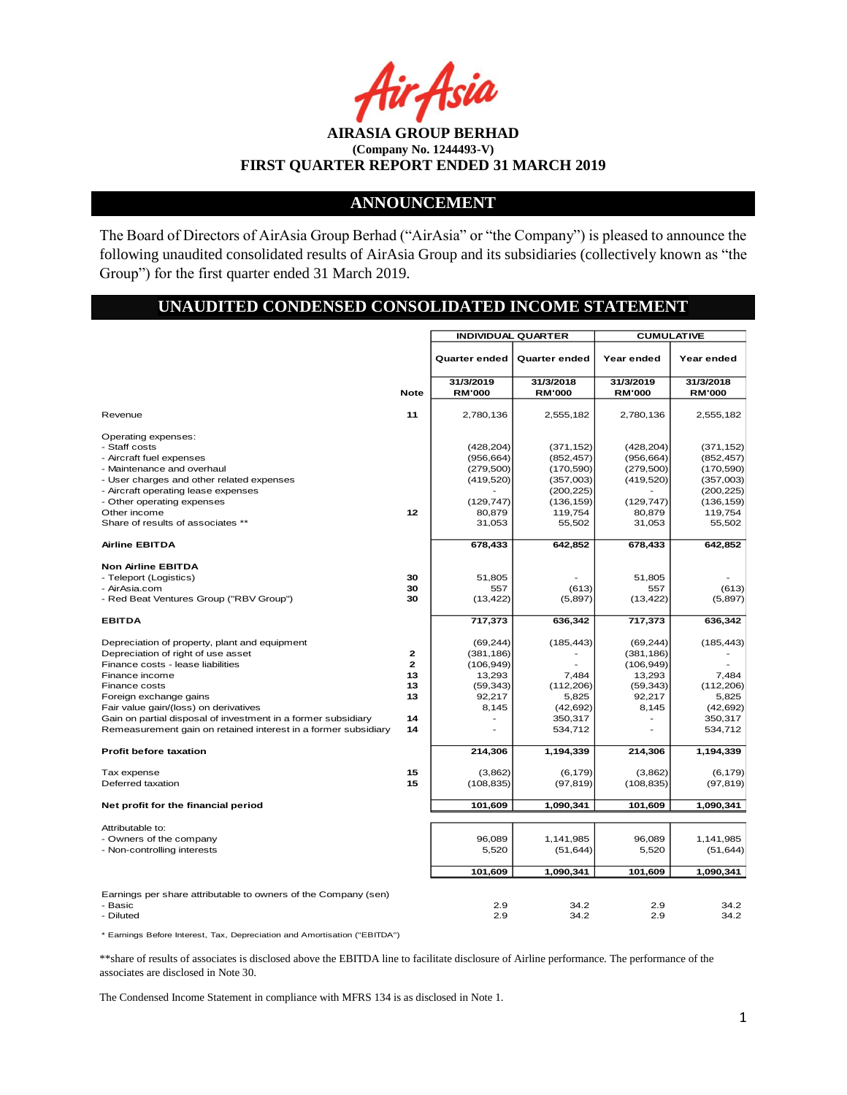Asia

**AIRASIA GROUP BERHAD (Company No. 1244493-V) FIRST QUARTER REPORT ENDED 31 MARCH 2019**

## **ANNOUNCEMENT**

The Board of Directors of AirAsia Group Berhad ("AirAsia" or "the Company") is pleased to announce the following unaudited consolidated results of AirAsia Group and its subsidiaries (collectively known as "the Group") for the first quarter ended 31 March 2019.

# **UNAUDITED CONDENSED CONSOLIDATED INCOME STATEMENT**

|                                                                                                                                                                                                                                                                                                                                                                   |                                                              | <b>INDIVIDUAL QUARTER</b>                                                                         |                                                                                                                 | <b>CUMULATIVE</b>                                                                                 |                                                                                                                 |  |
|-------------------------------------------------------------------------------------------------------------------------------------------------------------------------------------------------------------------------------------------------------------------------------------------------------------------------------------------------------------------|--------------------------------------------------------------|---------------------------------------------------------------------------------------------------|-----------------------------------------------------------------------------------------------------------------|---------------------------------------------------------------------------------------------------|-----------------------------------------------------------------------------------------------------------------|--|
|                                                                                                                                                                                                                                                                                                                                                                   |                                                              | <b>Quarter ended</b>                                                                              | Quarter ended                                                                                                   | Year ended                                                                                        | Year ended                                                                                                      |  |
|                                                                                                                                                                                                                                                                                                                                                                   | <b>Note</b>                                                  | 31/3/2019<br><b>RM'000</b>                                                                        | 31/3/2018<br><b>RM'000</b>                                                                                      | 31/3/2019<br><b>RM'000</b>                                                                        | 31/3/2018<br><b>RM'000</b>                                                                                      |  |
| Revenue                                                                                                                                                                                                                                                                                                                                                           | 11                                                           | 2,780,136                                                                                         | 2,555,182                                                                                                       | 2,780,136                                                                                         | 2,555,182                                                                                                       |  |
| Operating expenses:<br>- Staff costs<br>- Aircraft fuel expenses<br>- Maintenance and overhaul<br>- User charges and other related expenses<br>- Aircraft operating lease expenses<br>- Other operating expenses<br>Other income<br>Share of results of associates **<br><b>Airline EBITDA</b>                                                                    | 12                                                           | (428, 204)<br>(956, 664)<br>(279, 500)<br>(419, 520)<br>(129, 747)<br>80,879<br>31,053<br>678,433 | (371, 152)<br>(852, 457)<br>(170, 590)<br>(357,003)<br>(200, 225)<br>(136, 159)<br>119,754<br>55,502<br>642,852 | (428, 204)<br>(956, 664)<br>(279, 500)<br>(419, 520)<br>(129, 747)<br>80,879<br>31,053<br>678,433 | (371, 152)<br>(852, 457)<br>(170, 590)<br>(357,003)<br>(200, 225)<br>(136, 159)<br>119,754<br>55,502<br>642,852 |  |
| <b>Non Airline EBITDA</b><br>- Teleport (Logistics)<br>- AirAsia.com<br>- Red Beat Ventures Group ("RBV Group")                                                                                                                                                                                                                                                   | 30<br>30<br>30                                               | 51,805<br>557<br>(13, 422)                                                                        | (613)<br>(5,897)                                                                                                | 51.805<br>557<br>(13, 422)                                                                        | (613)<br>(5,897)                                                                                                |  |
| <b>EBITDA</b>                                                                                                                                                                                                                                                                                                                                                     |                                                              | 717,373                                                                                           | 636,342                                                                                                         | 717,373                                                                                           | 636,342                                                                                                         |  |
| Depreciation of property, plant and equipment<br>Depreciation of right of use asset<br>Finance costs - lease liabilities<br>Finance income<br>Finance costs<br>Foreign exchange gains<br>Fair value gain/(loss) on derivatives<br>Gain on partial disposal of investment in a former subsidiary<br>Remeasurement gain on retained interest in a former subsidiary | $\mathbf{z}$<br>$\overline{2}$<br>13<br>13<br>13<br>14<br>14 | (69, 244)<br>(381, 186)<br>(106, 949)<br>13,293<br>(59, 343)<br>92,217<br>8,145                   | (185, 443)<br>7,484<br>(112, 206)<br>5,825<br>(42, 692)<br>350,317<br>534,712                                   | (69, 244)<br>(381, 186)<br>(106, 949)<br>13,293<br>(59, 343)<br>92,217<br>8,145                   | (185, 443)<br>7,484<br>(112, 206)<br>5,825<br>(42, 692)<br>350,317<br>534,712                                   |  |
| <b>Profit before taxation</b>                                                                                                                                                                                                                                                                                                                                     |                                                              | 214,306                                                                                           | 1,194,339                                                                                                       | 214,306                                                                                           | 1,194,339                                                                                                       |  |
| Tax expense<br>Deferred taxation                                                                                                                                                                                                                                                                                                                                  | 15<br>15                                                     | (3,862)<br>(108, 835)                                                                             | (6, 179)<br>(97, 819)                                                                                           | (3,862)<br>(108, 835)                                                                             | (6, 179)<br>(97, 819)                                                                                           |  |
| Net profit for the financial period                                                                                                                                                                                                                                                                                                                               |                                                              | 101,609                                                                                           | 1,090,341                                                                                                       | 101,609                                                                                           | 1,090,341                                                                                                       |  |
| Attributable to:<br>- Owners of the company<br>- Non-controlling interests                                                                                                                                                                                                                                                                                        |                                                              | 96,089<br>5,520<br>101,609                                                                        | 1,141,985<br>(51, 644)<br>1,090,341                                                                             | 96,089<br>5,520<br>101,609                                                                        | 1,141,985<br>(51, 644)<br>1,090,341                                                                             |  |
| Earnings per share attributable to owners of the Company (sen)<br>- Basic<br>- Diluted                                                                                                                                                                                                                                                                            |                                                              | 2.9<br>2.9                                                                                        | 34.2<br>34.2                                                                                                    | 2.9<br>2.9                                                                                        | 34.2<br>34.2                                                                                                    |  |

\* Earnings Before Interest, Tax, Depreciation and Amortisation ("EBITDA")

\*\*share of results of associates is disclosed above the EBITDA line to facilitate disclosure of Airline performance. The performance of the associates are disclosed in Note 30.

The Condensed Income Statement in compliance with MFRS 134 is as disclosed in Note 1.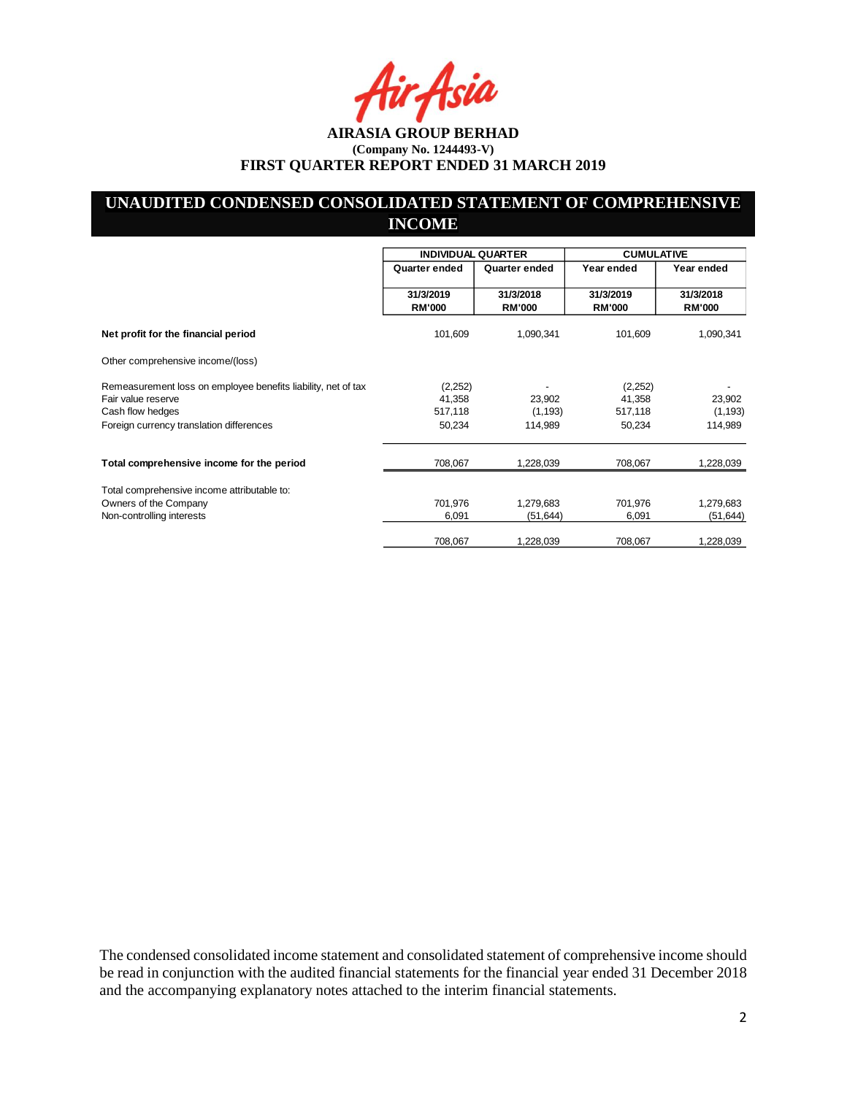Asia

# **UNAUDITED CONDENSED CONSOLIDATED STATEMENT OF COMPREHENSIVE INCOME**

|                                                               | <b>INDIVIDUAL QUARTER</b>  |                            | <b>CUMULATIVE</b>          |                            |
|---------------------------------------------------------------|----------------------------|----------------------------|----------------------------|----------------------------|
|                                                               | Quarter ended              | Quarter ended              | Year ended                 | Year ended                 |
|                                                               | 31/3/2019<br><b>RM'000</b> | 31/3/2018<br><b>RM'000</b> | 31/3/2019<br><b>RM'000</b> | 31/3/2018<br><b>RM'000</b> |
| Net profit for the financial period                           | 101,609                    | 1,090,341                  | 101,609                    | 1,090,341                  |
| Other comprehensive income/(loss)                             |                            |                            |                            |                            |
| Remeasurement loss on employee benefits liability, net of tax | (2,252)                    |                            | (2,252)                    |                            |
| Fair value reserve                                            | 41,358                     | 23,902                     | 41,358                     | 23,902                     |
| Cash flow hedges                                              | 517,118                    | (1, 193)                   | 517,118                    | (1, 193)                   |
| Foreign currency translation differences                      | 50,234                     | 114,989                    | 50,234                     | 114,989                    |
| Total comprehensive income for the period                     | 708,067                    | 1,228,039                  | 708,067                    | 1,228,039                  |
| Total comprehensive income attributable to:                   |                            |                            |                            |                            |
| Owners of the Company                                         | 701,976                    | 1,279,683                  | 701,976                    | 1,279,683                  |
| Non-controlling interests                                     | 6,091                      | (51, 644)                  | 6,091                      | (51, 644)                  |
|                                                               | 708,067                    | 1,228,039                  | 708,067                    | 1,228,039                  |

The condensed consolidated income statement and consolidated statement of comprehensive income should be read in conjunction with the audited financial statements for the financial year ended 31 December 2018 and the accompanying explanatory notes attached to the interim financial statements.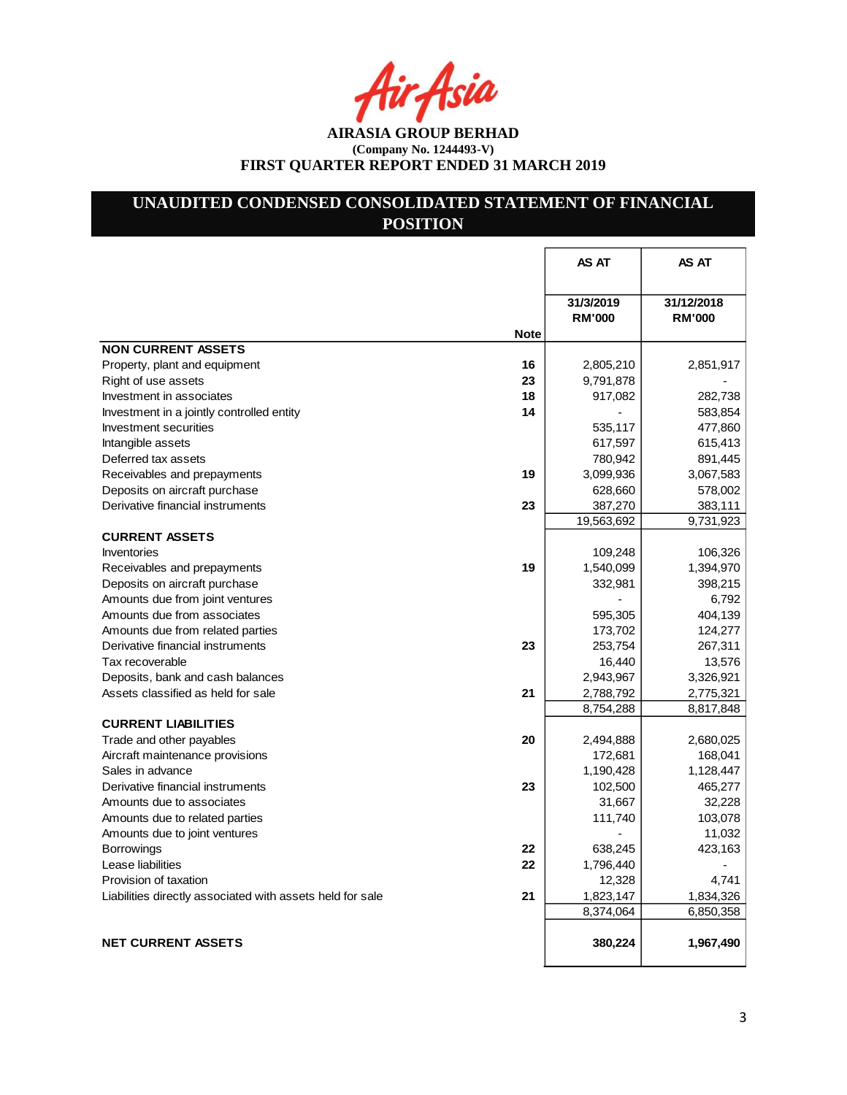r Asia

**AIRASIA GROUP BERHAD (Company No. 1244493-V) FIRST QUARTER REPORT ENDED 31 MARCH 2019**

# **UNAUDITED CONDENSED CONSOLIDATED STATEMENT OF FINANCIAL POSITION**

|                                                                 | AS AT                      | AS AT                       |
|-----------------------------------------------------------------|----------------------------|-----------------------------|
|                                                                 | 31/3/2019<br><b>RM'000</b> | 31/12/2018<br><b>RM'000</b> |
| <b>Note</b>                                                     |                            |                             |
| <b>NON CURRENT ASSETS</b>                                       |                            |                             |
| Property, plant and equipment<br>16                             | 2,805,210                  | 2,851,917                   |
| 23<br>Right of use assets                                       | 9,791,878                  |                             |
| 18<br>Investment in associates                                  | 917,082                    | 282,738                     |
| 14<br>Investment in a jointly controlled entity                 |                            | 583,854                     |
| Investment securities                                           | 535,117                    | 477,860                     |
| Intangible assets                                               | 617,597                    | 615,413                     |
| Deferred tax assets                                             | 780,942                    | 891,445                     |
| 19<br>Receivables and prepayments                               | 3,099,936                  | 3,067,583                   |
| Deposits on aircraft purchase                                   | 628,660                    | 578,002                     |
| Derivative financial instruments<br>23                          | 387,270                    | 383,111                     |
|                                                                 | 19,563,692                 | 9,731,923                   |
| <b>CURRENT ASSETS</b>                                           |                            |                             |
| Inventories                                                     | 109,248                    | 106,326                     |
| 19<br>Receivables and prepayments                               | 1,540,099                  | 1,394,970                   |
| Deposits on aircraft purchase                                   | 332,981                    | 398,215                     |
| Amounts due from joint ventures                                 |                            | 6,792                       |
| Amounts due from associates                                     | 595,305                    | 404,139                     |
| Amounts due from related parties                                | 173,702                    | 124,277                     |
| Derivative financial instruments<br>23                          | 253,754                    | 267,311                     |
| Tax recoverable                                                 | 16,440                     | 13,576                      |
| Deposits, bank and cash balances                                | 2,943,967                  | 3,326,921                   |
| Assets classified as held for sale<br>21                        | 2,788,792                  | 2,775,321                   |
|                                                                 | 8,754,288                  | 8,817,848                   |
| <b>CURRENT LIABILITIES</b>                                      |                            |                             |
| 20<br>Trade and other payables                                  | 2,494,888                  | 2,680,025                   |
| Aircraft maintenance provisions                                 | 172,681                    | 168,041                     |
| Sales in advance                                                | 1,190,428                  | 1,128,447                   |
| 23<br>Derivative financial instruments                          | 102,500                    | 465,277                     |
| Amounts due to associates                                       | 31,667                     | 32,228                      |
| Amounts due to related parties                                  | 111,740                    | 103,078                     |
| Amounts due to joint ventures                                   |                            | 11,032                      |
| <b>Borrowings</b><br>22                                         | 638,245                    | 423,163                     |
| 22<br>Lease liabilities                                         | 1,796,440                  |                             |
| Provision of taxation                                           | 12,328                     | 4,741                       |
| 21<br>Liabilities directly associated with assets held for sale | 1,823,147                  | 1,834,326                   |
|                                                                 | 8,374,064                  | 6,850,358                   |
| <b>NET CURRENT ASSETS</b>                                       |                            |                             |
|                                                                 | 380,224                    | 1,967,490                   |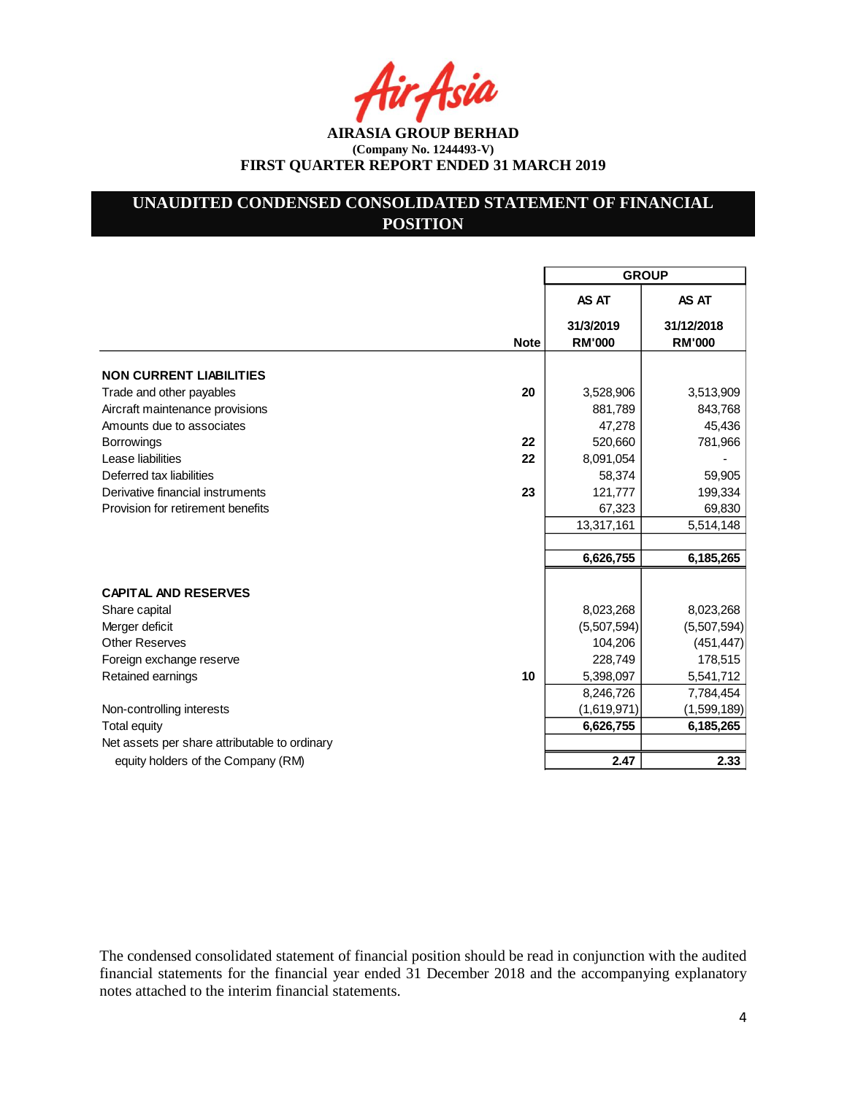Asia

**AIRASIA GROUP BERHAD (Company No. 1244493-V) FIRST QUARTER REPORT ENDED 31 MARCH 2019**

# **UNAUDITED CONDENSED CONSOLIDATED STATEMENT OF FINANCIAL POSITION**

|                                               |             | <b>GROUP</b>               |                             |  |
|-----------------------------------------------|-------------|----------------------------|-----------------------------|--|
|                                               |             | AS AT                      | AS AT                       |  |
|                                               | <b>Note</b> | 31/3/2019<br><b>RM'000</b> | 31/12/2018<br><b>RM'000</b> |  |
| <b>NON CURRENT LIABILITIES</b>                |             |                            |                             |  |
| Trade and other payables                      | 20          | 3,528,906                  | 3,513,909                   |  |
| Aircraft maintenance provisions               |             | 881,789                    | 843,768                     |  |
| Amounts due to associates                     |             | 47,278                     | 45,436                      |  |
| <b>Borrowings</b>                             | 22          | 520,660                    | 781,966                     |  |
| Lease liabilities                             | 22          | 8,091,054                  |                             |  |
| Deferred tax liabilities                      |             | 58,374                     | 59,905                      |  |
| Derivative financial instruments              | 23          | 121,777                    | 199,334                     |  |
| Provision for retirement benefits             |             | 67,323                     | 69,830                      |  |
|                                               |             | 13,317,161                 | 5,514,148                   |  |
|                                               |             |                            |                             |  |
|                                               |             | 6,626,755                  | 6,185,265                   |  |
| <b>CAPITAL AND RESERVES</b>                   |             |                            |                             |  |
| Share capital                                 |             | 8,023,268                  | 8,023,268                   |  |
| Merger deficit                                |             | (5,507,594)                | (5,507,594)                 |  |
| <b>Other Reserves</b>                         |             | 104,206                    | (451, 447)                  |  |
| Foreign exchange reserve                      |             | 228,749                    | 178,515                     |  |
| Retained earnings                             | 10          | 5,398,097                  | 5,541,712                   |  |
|                                               |             | 8,246,726                  | 7,784,454                   |  |
| Non-controlling interests                     |             | (1,619,971)                | (1,599,189)                 |  |
| <b>Total equity</b>                           |             | 6,626,755                  | 6,185,265                   |  |
| Net assets per share attributable to ordinary |             |                            |                             |  |
| equity holders of the Company (RM)            |             | 2.47                       | 2.33                        |  |

The condensed consolidated statement of financial position should be read in conjunction with the audited financial statements for the financial year ended 31 December 2018 and the accompanying explanatory notes attached to the interim financial statements.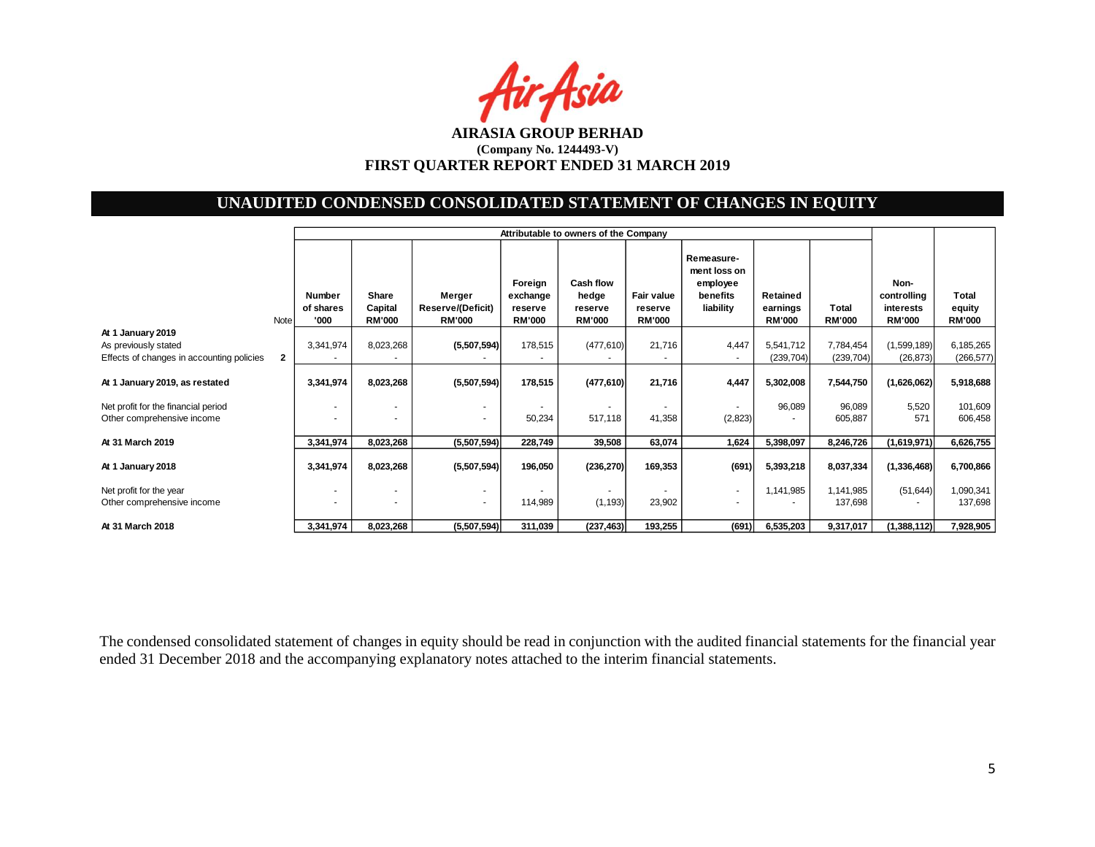Air Asia

# **UNAUDITED CONDENSED CONSOLIDATED STATEMENT OF CHANGES IN EQUITY**

|                                           |              |                                    | Attributable to owners of the Company |                                              |                                                 |                                                       |                                               |                                                                 |                                       |                        |                                                   |                                  |
|-------------------------------------------|--------------|------------------------------------|---------------------------------------|----------------------------------------------|-------------------------------------------------|-------------------------------------------------------|-----------------------------------------------|-----------------------------------------------------------------|---------------------------------------|------------------------|---------------------------------------------------|----------------------------------|
|                                           | <b>Note</b>  | <b>Number</b><br>of shares<br>'000 | Share<br>Capital<br><b>RM'000</b>     | Merger<br>Reserve/(Deficit)<br><b>RM'000</b> | Foreign<br>exchange<br>reserve<br><b>RM'000</b> | <b>Cash flow</b><br>hedge<br>reserve<br><b>RM'000</b> | <b>Fair value</b><br>reserve<br><b>RM'000</b> | Remeasure-<br>ment loss on<br>employee<br>benefits<br>liability | Retained<br>earnings<br><b>RM'000</b> | Total<br><b>RM'000</b> | Non-<br>controlling<br>interests<br><b>RM'000</b> | Total<br>equity<br><b>RM'000</b> |
| At 1 January 2019                         |              |                                    |                                       |                                              |                                                 |                                                       |                                               |                                                                 |                                       |                        |                                                   |                                  |
| As previously stated                      |              | 3,341,974                          | 8,023,268                             | (5,507,594)                                  | 178,515                                         | (477, 610)                                            | 21,716                                        | 4,447                                                           | 5,541,712                             | 7,784,454              | (1,599,189)                                       | 6,185,265                        |
| Effects of changes in accounting policies | $\mathbf{2}$ |                                    |                                       |                                              |                                                 |                                                       |                                               |                                                                 | (239, 704)                            | (239, 704)             | (26, 873)                                         | (266, 577)                       |
| At 1 January 2019, as restated            |              | 3,341,974                          | 8,023,268                             | (5,507,594)                                  | 178,515                                         | (477, 610)                                            | 21,716                                        | 4,447                                                           | 5,302,008                             | 7,544,750              | (1,626,062)                                       | 5,918,688                        |
| Net profit for the financial period       |              |                                    | ٠                                     | ٠                                            |                                                 |                                                       |                                               | $\sim$                                                          | 96,089                                | 96,089                 | 5,520                                             | 101,609                          |
| Other comprehensive income                |              |                                    | ٠                                     | ٠                                            | 50,234                                          | 517,118                                               | 41,358                                        | (2,823)                                                         |                                       | 605,887                | 571                                               | 606,458                          |
|                                           |              |                                    |                                       |                                              |                                                 |                                                       |                                               |                                                                 |                                       |                        |                                                   |                                  |
| At 31 March 2019                          |              | 3,341,974                          | 8,023,268                             | (5,507,594)                                  | 228,749                                         | 39,508                                                | 63,074                                        | 1,624                                                           | 5,398,097                             | 8,246,726              | (1,619,971)                                       | 6,626,755                        |
| At 1 January 2018                         |              | 3,341,974                          | 8,023,268                             | (5,507,594)                                  | 196,050                                         | (236, 270)                                            | 169,353                                       | (691)                                                           | 5,393,218                             | 8,037,334              | (1, 336, 468)                                     | 6,700,866                        |
| Net profit for the year                   |              | $\sim$                             | ٠                                     |                                              |                                                 |                                                       |                                               | $\sim$                                                          | 1,141,985                             | 1,141,985              | (51, 644)                                         | 1,090,341                        |
| Other comprehensive income                |              | ٠                                  | ۰                                     | ۰.                                           | 114,989                                         | (1, 193)                                              | 23,902                                        | $\sim$                                                          |                                       | 137,698                |                                                   | 137,698                          |
| At 31 March 2018                          |              | 3,341,974                          | 8,023,268                             | (5,507,594)                                  | 311,039                                         | (237, 463)                                            | 193,255                                       | (691)                                                           | 6,535,203                             | 9,317,017              | (1,388,112)                                       | 7,928,905                        |

The condensed consolidated statement of changes in equity should be read in conjunction with the audited financial statements for the financial year ended 31 December 2018 and the accompanying explanatory notes attached to the interim financial statements.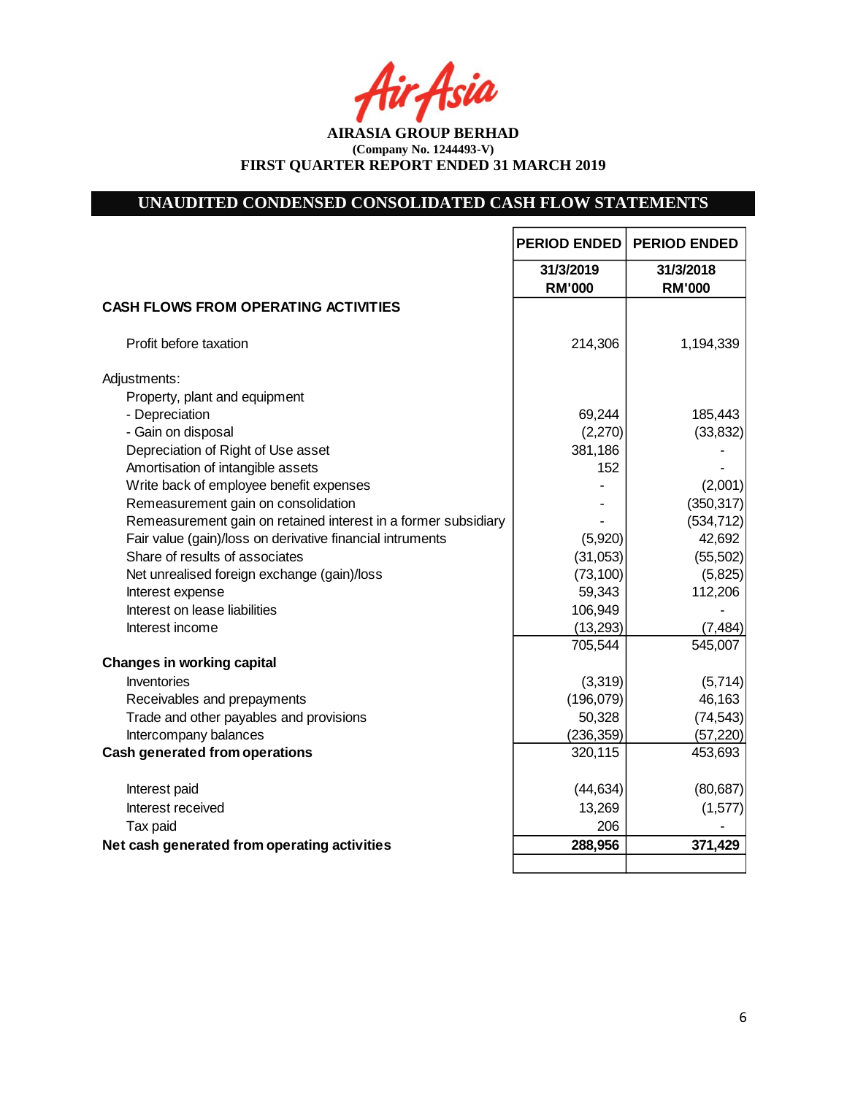tir Asia

**AIRASIA GROUP BERHAD (Company No. 1244493-V) FIRST QUARTER REPORT ENDED 31 MARCH 2019**

# **UNAUDITED CONDENSED CONSOLIDATED CASH FLOW STATEMENTS**

|                                                                | <b>PERIOD ENDED</b>        | <b>PERIOD ENDED</b>        |
|----------------------------------------------------------------|----------------------------|----------------------------|
|                                                                | 31/3/2019<br><b>RM'000</b> | 31/3/2018<br><b>RM'000</b> |
| <b>CASH FLOWS FROM OPERATING ACTIVITIES</b>                    |                            |                            |
| Profit before taxation                                         | 214,306                    | 1,194,339                  |
| Adjustments:                                                   |                            |                            |
| Property, plant and equipment                                  |                            |                            |
| - Depreciation                                                 | 69,244                     | 185,443                    |
| - Gain on disposal                                             | (2,270)                    | (33, 832)                  |
| Depreciation of Right of Use asset                             | 381,186                    |                            |
| Amortisation of intangible assets                              | 152                        |                            |
| Write back of employee benefit expenses                        |                            | (2,001)                    |
| Remeasurement gain on consolidation                            |                            | (350, 317)                 |
| Remeasurement gain on retained interest in a former subsidiary |                            | (534, 712)                 |
| Fair value (gain)/loss on derivative financial intruments      | (5,920)                    | 42,692                     |
| Share of results of associates                                 | (31,053)                   | (55, 502)                  |
| Net unrealised foreign exchange (gain)/loss                    | (73, 100)                  | (5,825)                    |
| Interest expense                                               | 59,343                     | 112,206                    |
| Interest on lease liabilities                                  | 106,949                    |                            |
| Interest income                                                | (13, 293)                  | (7, 484)                   |
|                                                                | 705,544                    | 545,007                    |
| <b>Changes in working capital</b>                              |                            |                            |
| Inventories                                                    | (3, 319)                   | (5,714)                    |
| Receivables and prepayments                                    | (196, 079)                 | 46,163                     |
| Trade and other payables and provisions                        | 50,328                     | (74, 543)                  |
| Intercompany balances                                          | (236, 359)                 | (57, 220)                  |
| <b>Cash generated from operations</b>                          | 320,115                    | 453,693                    |
| Interest paid                                                  | (44, 634)                  | (80, 687)                  |
| Interest received                                              | 13,269                     | (1,577)                    |
| Tax paid                                                       | 206                        |                            |
| Net cash generated from operating activities                   | 288,956                    | 371,429                    |
|                                                                |                            |                            |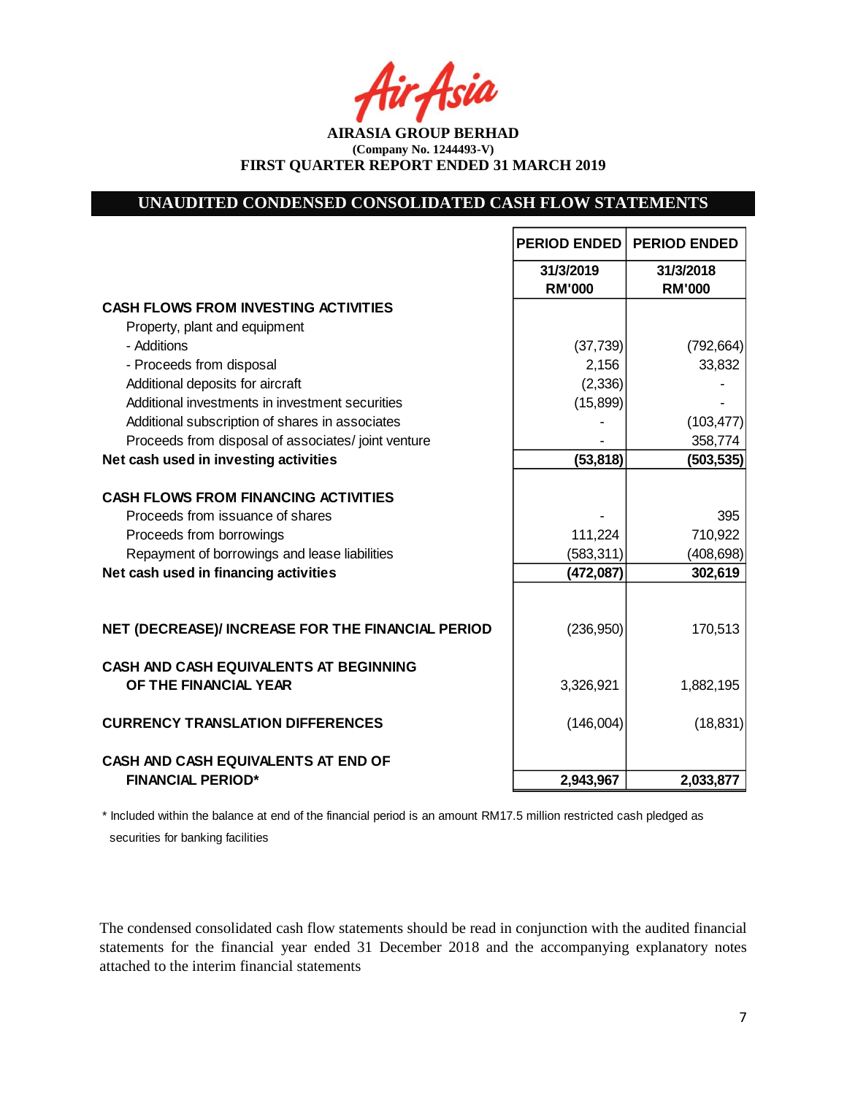Asia

**AIRASIA GROUP BERHAD (Company No. 1244493-V) FIRST QUARTER REPORT ENDED 31 MARCH 2019**

# **UNAUDITED CONDENSED CONSOLIDATED CASH FLOW STATEMENTS**

|                                                                                                                                                              | <b>PERIOD ENDED</b>        | <b>PERIOD ENDED</b>          |
|--------------------------------------------------------------------------------------------------------------------------------------------------------------|----------------------------|------------------------------|
|                                                                                                                                                              | 31/3/2019<br><b>RM'000</b> | 31/3/2018<br><b>RM'000</b>   |
| <b>CASH FLOWS FROM INVESTING ACTIVITIES</b>                                                                                                                  |                            |                              |
| Property, plant and equipment                                                                                                                                |                            |                              |
| - Additions                                                                                                                                                  | (37, 739)                  | (792, 664)                   |
| - Proceeds from disposal                                                                                                                                     | 2,156                      | 33,832                       |
| Additional deposits for aircraft                                                                                                                             | (2, 336)                   |                              |
| Additional investments in investment securities                                                                                                              | (15, 899)                  |                              |
| Additional subscription of shares in associates                                                                                                              |                            | (103, 477)                   |
| Proceeds from disposal of associates/joint venture                                                                                                           |                            | 358,774                      |
| Net cash used in investing activities                                                                                                                        | (53, 818)                  | (503, 535)                   |
| <b>CASH FLOWS FROM FINANCING ACTIVITIES</b><br>Proceeds from issuance of shares<br>Proceeds from borrowings<br>Repayment of borrowings and lease liabilities | 111,224<br>(583, 311)      | 395<br>710,922<br>(408, 698) |
| Net cash used in financing activities                                                                                                                        | (472, 087)                 | 302,619                      |
| NET (DECREASE)/ INCREASE FOR THE FINANCIAL PERIOD                                                                                                            | (236,950)                  | 170,513                      |
| CASH AND CASH EQUIVALENTS AT BEGINNING<br>OF THE FINANCIAL YEAR                                                                                              | 3,326,921                  | 1,882,195                    |
| <b>CURRENCY TRANSLATION DIFFERENCES</b>                                                                                                                      | (146,004)                  | (18, 831)                    |
| CASH AND CASH EQUIVALENTS AT END OF                                                                                                                          |                            |                              |
| <b>FINANCIAL PERIOD*</b>                                                                                                                                     | 2,943,967                  | 2,033,877                    |

\* Included within the balance at end of the financial period is an amount RM17.5 million restricted cash pledged as securities for banking facilities

The condensed consolidated cash flow statements should be read in conjunction with the audited financial statements for the financial year ended 31 December 2018 and the accompanying explanatory notes attached to the interim financial statements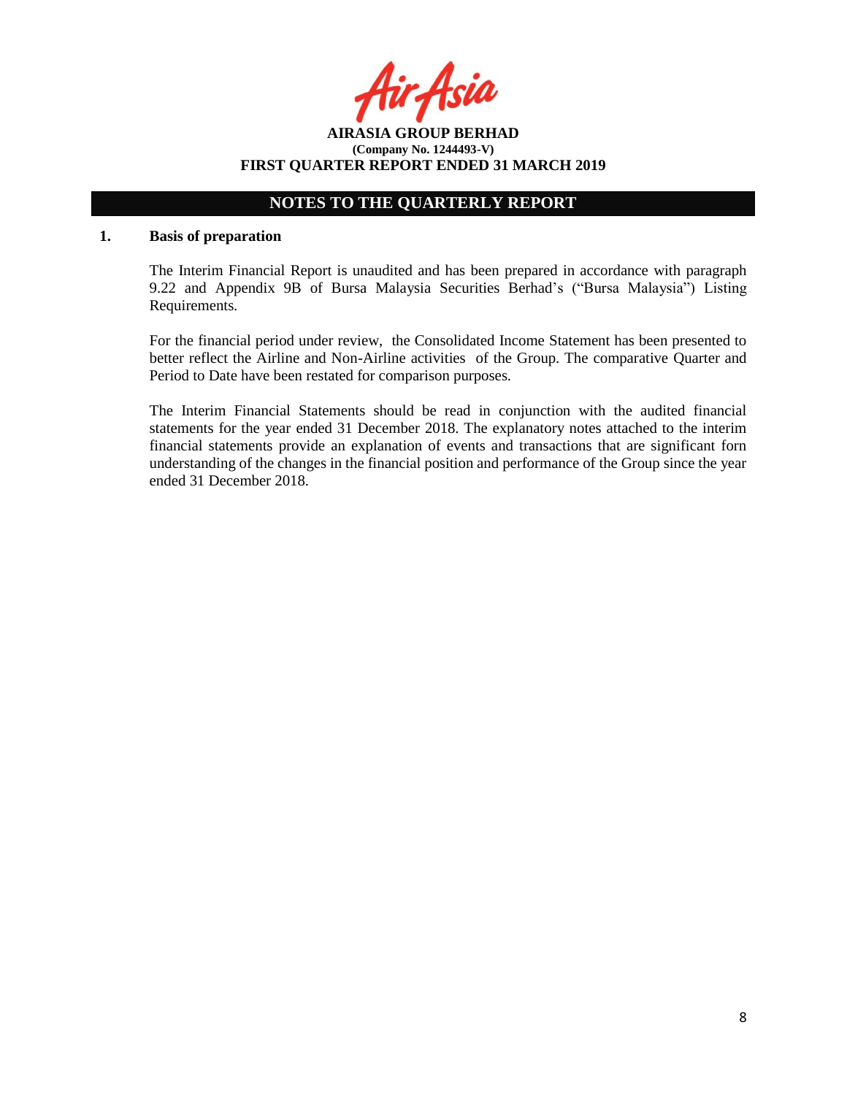**AIRASIA GROUP BERHAD (Company No. 1244493-V) FIRST QUARTER REPORT ENDED 31 MARCH 2019**

# **NOTES TO THE QUARTERLY REPORT**

#### **1. Basis of preparation**

The Interim Financial Report is unaudited and has been prepared in accordance with paragraph 9.22 and Appendix 9B of Bursa Malaysia Securities Berhad's ("Bursa Malaysia") Listing Requirements.

For the financial period under review, the Consolidated Income Statement has been presented to better reflect the Airline and Non-Airline activities of the Group. The comparative Quarter and Period to Date have been restated for comparison purposes.

The Interim Financial Statements should be read in conjunction with the audited financial statements for the year ended 31 December 2018. The explanatory notes attached to the interim financial statements provide an explanation of events and transactions that are significant forn understanding of the changes in the financial position and performance of the Group since the year ended 31 December 2018.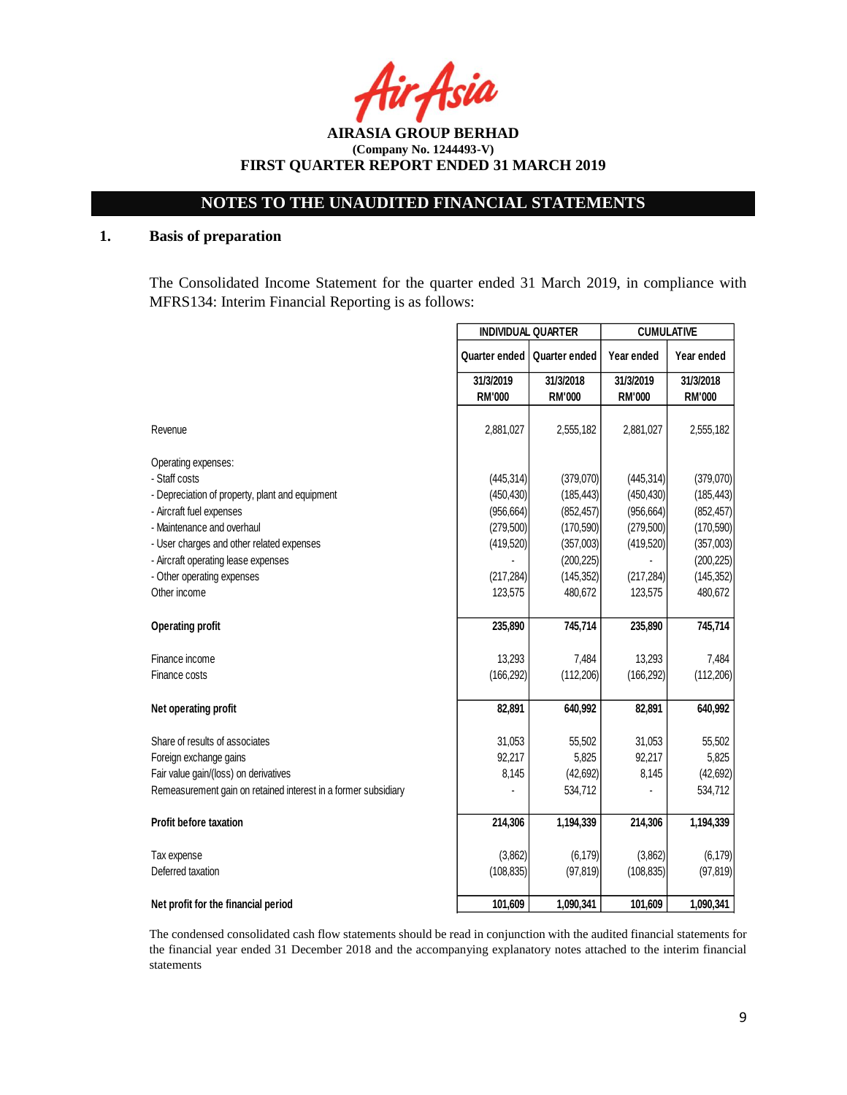Asia

**AIRASIA GROUP BERHAD (Company No. 1244493-V) FIRST QUARTER REPORT ENDED 31 MARCH 2019**

# **1. Basis of preparation**

The Consolidated Income Statement for the quarter ended 31 March 2019, in compliance with MFRS134: Interim Financial Reporting is as follows:

|                                                                | <b>INDIVIDUAL QUARTER</b> |               | <b>CUMULATIVE</b> |               |  |
|----------------------------------------------------------------|---------------------------|---------------|-------------------|---------------|--|
|                                                                | Quarter ended             | Quarter ended | Year ended        | Year ended    |  |
|                                                                | 31/3/2019                 | 31/3/2018     | 31/3/2019         | 31/3/2018     |  |
|                                                                | <b>RM'000</b>             | <b>RM'000</b> | <b>RM'000</b>     | <b>RM'000</b> |  |
|                                                                |                           |               |                   |               |  |
| Revenue                                                        | 2,881,027                 | 2,555,182     | 2,881,027         | 2,555,182     |  |
| Operating expenses:                                            |                           |               |                   |               |  |
| - Staff costs                                                  | (445, 314)                | (379,070)     | (445, 314)        | (379,070)     |  |
| - Depreciation of property, plant and equipment                | (450, 430)                | (185, 443)    | (450, 430)        | (185, 443)    |  |
| - Aircraft fuel expenses                                       | (956, 664)                | (852, 457)    | (956, 664)        | (852, 457)    |  |
| - Maintenance and overhaul                                     | (279, 500)                | (170, 590)    | (279, 500)        | (170, 590)    |  |
| - User charges and other related expenses                      | (419, 520)                | (357,003)     | (419, 520)        | (357,003)     |  |
| - Aircraft operating lease expenses                            |                           | (200, 225)    |                   | (200, 225)    |  |
| - Other operating expenses                                     | (217, 284)                | (145, 352)    | (217, 284)        | (145, 352)    |  |
| Other income                                                   | 123,575                   | 480,672       | 123,575           | 480,672       |  |
| <b>Operating profit</b>                                        | 235,890                   | 745,714       | 235,890           | 745,714       |  |
| Finance income                                                 | 13,293                    | 7,484         | 13,293            | 7,484         |  |
| Finance costs                                                  | (166, 292)                | (112, 206)    | (166, 292)        | (112, 206)    |  |
| Net operating profit                                           | 82,891                    | 640,992       | 82,891            | 640,992       |  |
| Share of results of associates                                 | 31,053                    | 55,502        | 31,053            | 55,502        |  |
| Foreign exchange gains                                         | 92,217                    | 5,825         | 92,217            | 5,825         |  |
| Fair value gain/(loss) on derivatives                          | 8,145                     | (42, 692)     | 8,145             | (42, 692)     |  |
| Remeasurement gain on retained interest in a former subsidiary |                           | 534,712       |                   | 534,712       |  |
| <b>Profit before taxation</b>                                  | 214,306                   | 1,194,339     | 214,306           | 1,194,339     |  |
| Tax expense                                                    | (3,862)                   | (6, 179)      | (3,862)           | (6, 179)      |  |
| Deferred taxation                                              | (108, 835)                | (97, 819)     | (108, 835)        | (97, 819)     |  |
| Net profit for the financial period                            | 101,609                   | 1,090,341     | 101,609           | 1,090,341     |  |

The condensed consolidated cash flow statements should be read in conjunction with the audited financial statements for the financial year ended 31 December 2018 and the accompanying explanatory notes attached to the interim financial statements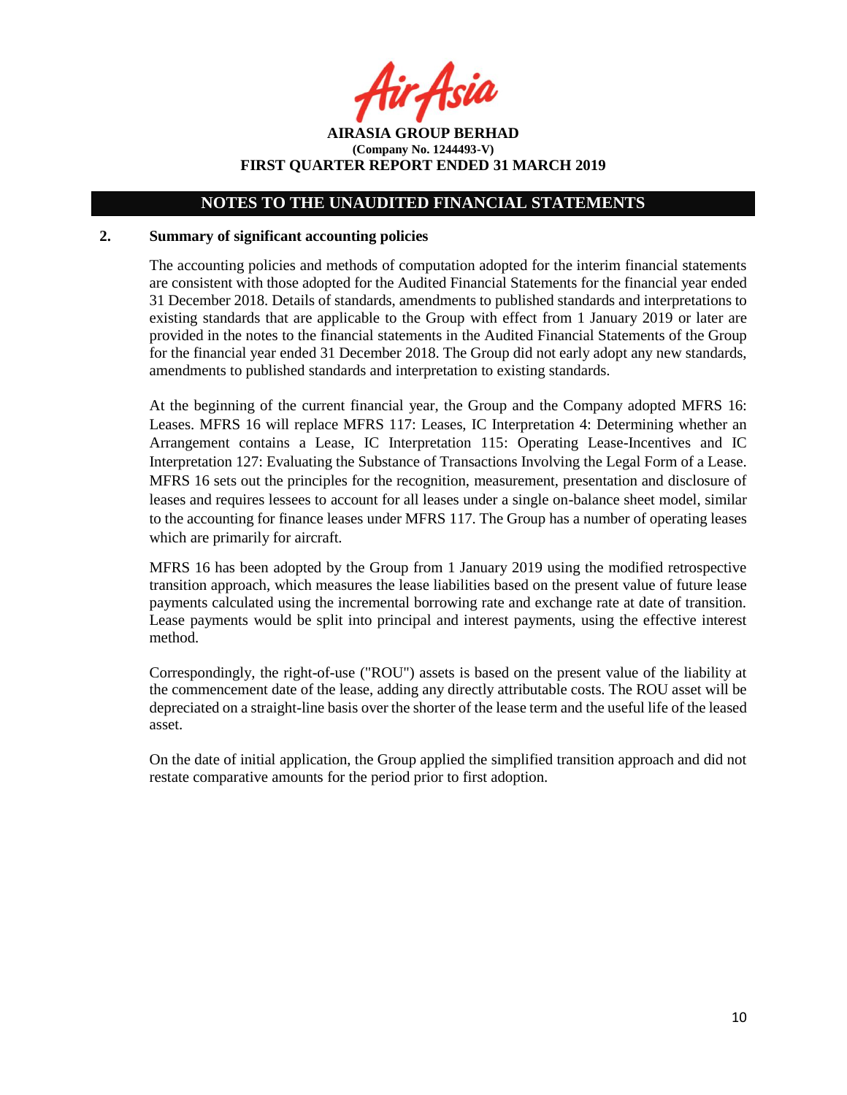r Asia

**AIRASIA GROUP BERHAD (Company No. 1244493-V) FIRST QUARTER REPORT ENDED 31 MARCH 2019**

#### **2. Summary of significant accounting policies**

The accounting policies and methods of computation adopted for the interim financial statements are consistent with those adopted for the Audited Financial Statements for the financial year ended 31 December 2018. Details of standards, amendments to published standards and interpretations to existing standards that are applicable to the Group with effect from 1 January 2019 or later are provided in the notes to the financial statements in the Audited Financial Statements of the Group for the financial year ended 31 December 2018. The Group did not early adopt any new standards, amendments to published standards and interpretation to existing standards.

At the beginning of the current financial year, the Group and the Company adopted MFRS 16: Leases. MFRS 16 will replace MFRS 117: Leases, IC Interpretation 4: Determining whether an Arrangement contains a Lease, IC Interpretation 115: Operating Lease-Incentives and IC Interpretation 127: Evaluating the Substance of Transactions Involving the Legal Form of a Lease. MFRS 16 sets out the principles for the recognition, measurement, presentation and disclosure of leases and requires lessees to account for all leases under a single on-balance sheet model, similar to the accounting for finance leases under MFRS 117. The Group has a number of operating leases which are primarily for aircraft.

MFRS 16 has been adopted by the Group from 1 January 2019 using the modified retrospective transition approach, which measures the lease liabilities based on the present value of future lease payments calculated using the incremental borrowing rate and exchange rate at date of transition. Lease payments would be split into principal and interest payments, using the effective interest method.

Correspondingly, the right-of-use ("ROU") assets is based on the present value of the liability at the commencement date of the lease, adding any directly attributable costs. The ROU asset will be depreciated on a straight-line basis over the shorter of the lease term and the useful life of the leased asset.

On the date of initial application, the Group applied the simplified transition approach and did not restate comparative amounts for the period prior to first adoption.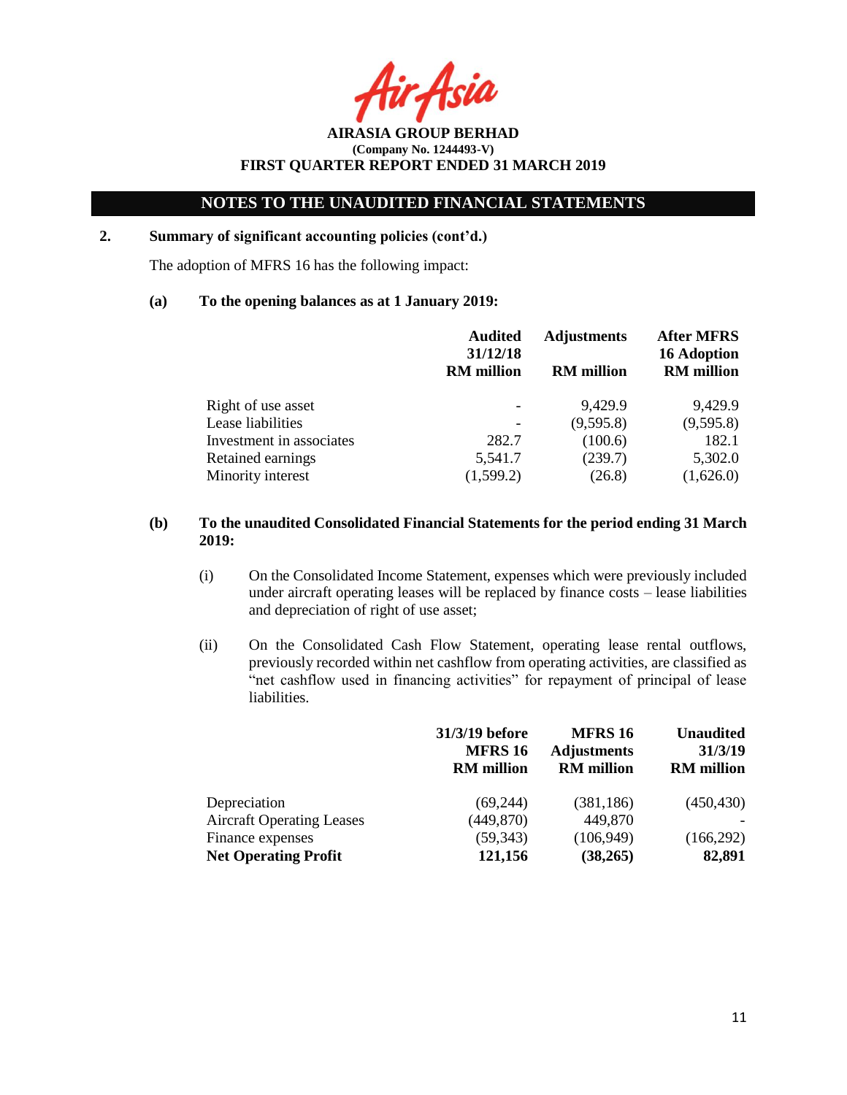Acil

**AIRASIA GROUP BERHAD (Company No. 1244493-V) FIRST QUARTER REPORT ENDED 31 MARCH 2019**

# **2. Summary of significant accounting policies (cont'd.)**

The adoption of MFRS 16 has the following impact:

#### **(a) To the opening balances as at 1 January 2019:**

|                          | <b>Audited</b><br>31/12/18<br><b>RM</b> million | <b>Adjustments</b><br><b>RM</b> million | <b>After MFRS</b><br><b>16 Adoption</b><br><b>RM</b> million |
|--------------------------|-------------------------------------------------|-----------------------------------------|--------------------------------------------------------------|
| Right of use asset       |                                                 | 9,429.9                                 | 9,429.9                                                      |
| Lease liabilities        |                                                 | (9,595.8)                               | (9,595.8)                                                    |
| Investment in associates | 282.7                                           | (100.6)                                 | 182.1                                                        |
| Retained earnings        | 5,541.7                                         | (239.7)                                 | 5,302.0                                                      |
| Minority interest        | (1,599.2)                                       | (26.8)                                  | (1,626.0)                                                    |

## **(b) To the unaudited Consolidated Financial Statements for the period ending 31 March 2019:**

- (i) On the Consolidated Income Statement, expenses which were previously included under aircraft operating leases will be replaced by finance costs – lease liabilities and depreciation of right of use asset;
- (ii) On the Consolidated Cash Flow Statement, operating lease rental outflows, previously recorded within net cashflow from operating activities, are classified as "net cashflow used in financing activities" for repayment of principal of lease liabilities.

|                                  | 31/3/19 before<br><b>MFRS 16</b><br><b>RM</b> million | <b>MFRS 16</b><br><b>Adjustments</b><br><b>RM</b> million | <b>Unaudited</b><br>31/3/19<br><b>RM</b> million |
|----------------------------------|-------------------------------------------------------|-----------------------------------------------------------|--------------------------------------------------|
| Depreciation                     | (69,244)                                              | (381, 186)                                                | (450, 430)                                       |
| <b>Aircraft Operating Leases</b> | (449, 870)                                            | 449,870                                                   |                                                  |
| Finance expenses                 | (59, 343)                                             | (106, 949)                                                | (166, 292)                                       |
| <b>Net Operating Profit</b>      | 121,156                                               | (38, 265)                                                 | 82,891                                           |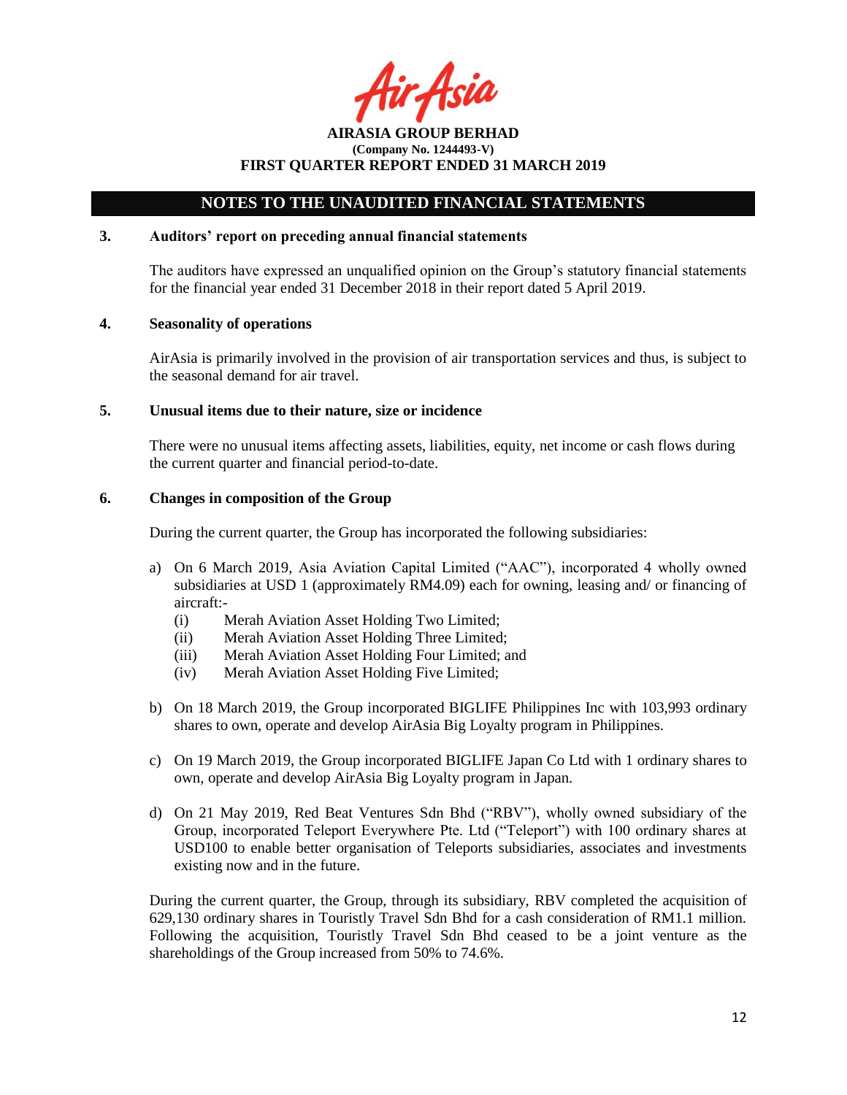tir.Asia

**AIRASIA GROUP BERHAD (Company No. 1244493-V) FIRST QUARTER REPORT ENDED 31 MARCH 2019**

### **3. Auditors' report on preceding annual financial statements**

The auditors have expressed an unqualified opinion on the Group's statutory financial statements for the financial year ended 31 December 2018 in their report dated 5 April 2019.

#### **4. Seasonality of operations**

AirAsia is primarily involved in the provision of air transportation services and thus, is subject to the seasonal demand for air travel.

#### **5. Unusual items due to their nature, size or incidence**

There were no unusual items affecting assets, liabilities, equity, net income or cash flows during the current quarter and financial period-to-date.

#### **6. Changes in composition of the Group**

During the current quarter, the Group has incorporated the following subsidiaries:

- a) On 6 March 2019, Asia Aviation Capital Limited ("AAC"), incorporated 4 wholly owned subsidiaries at USD 1 (approximately RM4.09) each for owning, leasing and/ or financing of aircraft:-
	- (i) Merah Aviation Asset Holding Two Limited;
	- (ii) Merah Aviation Asset Holding Three Limited;
	- (iii) Merah Aviation Asset Holding Four Limited; and
	- (iv) Merah Aviation Asset Holding Five Limited;
- b) On 18 March 2019, the Group incorporated BIGLIFE Philippines Inc with 103,993 ordinary shares to own, operate and develop AirAsia Big Loyalty program in Philippines.
- c) On 19 March 2019, the Group incorporated BIGLIFE Japan Co Ltd with 1 ordinary shares to own, operate and develop AirAsia Big Loyalty program in Japan.
- d) On 21 May 2019, Red Beat Ventures Sdn Bhd ("RBV"), wholly owned subsidiary of the Group, incorporated Teleport Everywhere Pte. Ltd ("Teleport") with 100 ordinary shares at USD100 to enable better organisation of Teleports subsidiaries, associates and investments existing now and in the future.

During the current quarter, the Group, through its subsidiary, RBV completed the acquisition of 629,130 ordinary shares in Touristly Travel Sdn Bhd for a cash consideration of RM1.1 million. Following the acquisition, Touristly Travel Sdn Bhd ceased to be a joint venture as the shareholdings of the Group increased from 50% to 74.6%.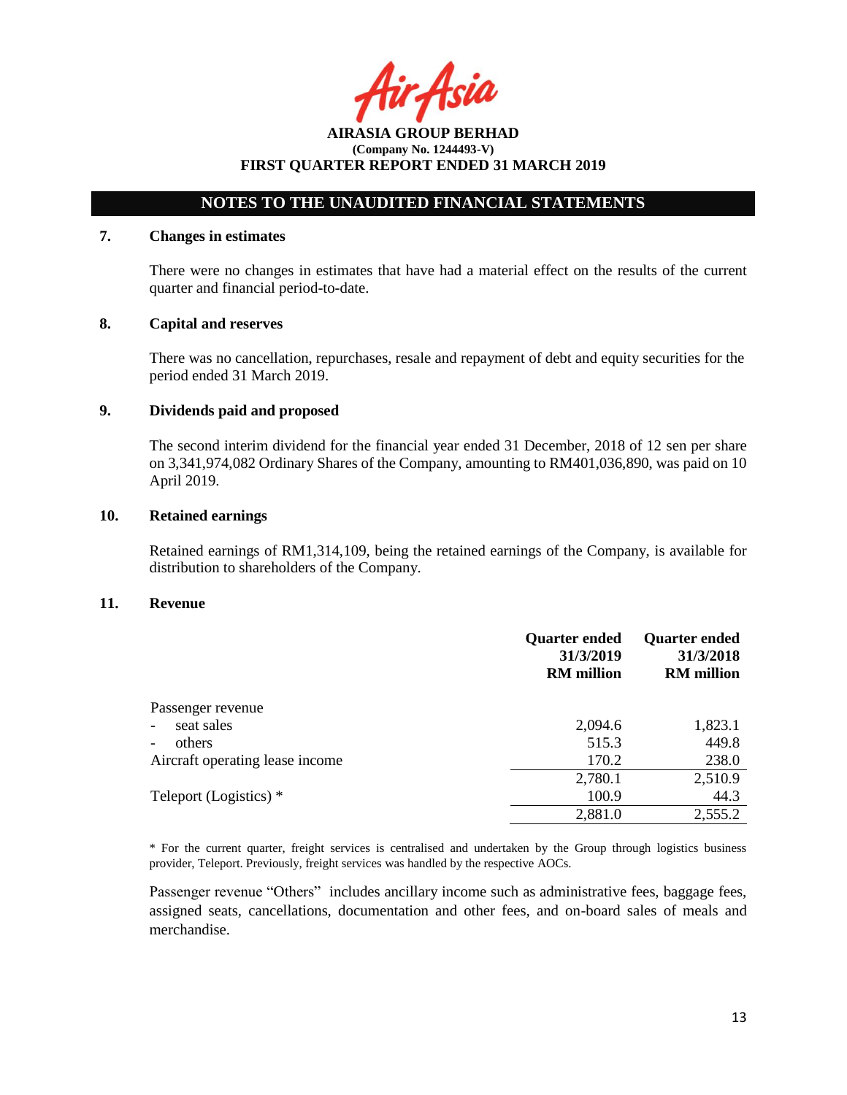Asil

# **NOTES TO THE UNAUDITED FINANCIAL STATEMENTS**

#### **7. Changes in estimates**

There were no changes in estimates that have had a material effect on the results of the current quarter and financial period-to-date.

#### **8. Capital and reserves**

There was no cancellation, repurchases, resale and repayment of debt and equity securities for the period ended 31 March 2019.

#### **9. Dividends paid and proposed**

The second interim dividend for the financial year ended 31 December, 2018 of 12 sen per share on 3,341,974,082 Ordinary Shares of the Company, amounting to RM401,036,890, was paid on 10 April 2019.

#### **10. Retained earnings**

Retained earnings of RM1,314,109, being the retained earnings of the Company, is available for distribution to shareholders of the Company.

#### **11. Revenue**

|                                    | <b>Quarter ended</b><br>31/3/2019<br><b>RM</b> million | <b>Quarter ended</b><br>31/3/2018<br><b>RM</b> million |
|------------------------------------|--------------------------------------------------------|--------------------------------------------------------|
| Passenger revenue                  |                                                        |                                                        |
| seat sales                         | 2,094.6                                                | 1,823.1                                                |
| others<br>$\overline{\phantom{a}}$ | 515.3                                                  | 449.8                                                  |
| Aircraft operating lease income    | 170.2                                                  | 238.0                                                  |
|                                    | 2,780.1                                                | 2,510.9                                                |
| Teleport (Logistics) *             | 100.9                                                  | 44.3                                                   |
|                                    | 2,881.0                                                | 2,555.2                                                |

\* For the current quarter, freight services is centralised and undertaken by the Group through logistics business provider, Teleport. Previously, freight services was handled by the respective AOCs.

Passenger revenue "Others" includes ancillary income such as administrative fees, baggage fees, assigned seats, cancellations, documentation and other fees, and on-board sales of meals and merchandise.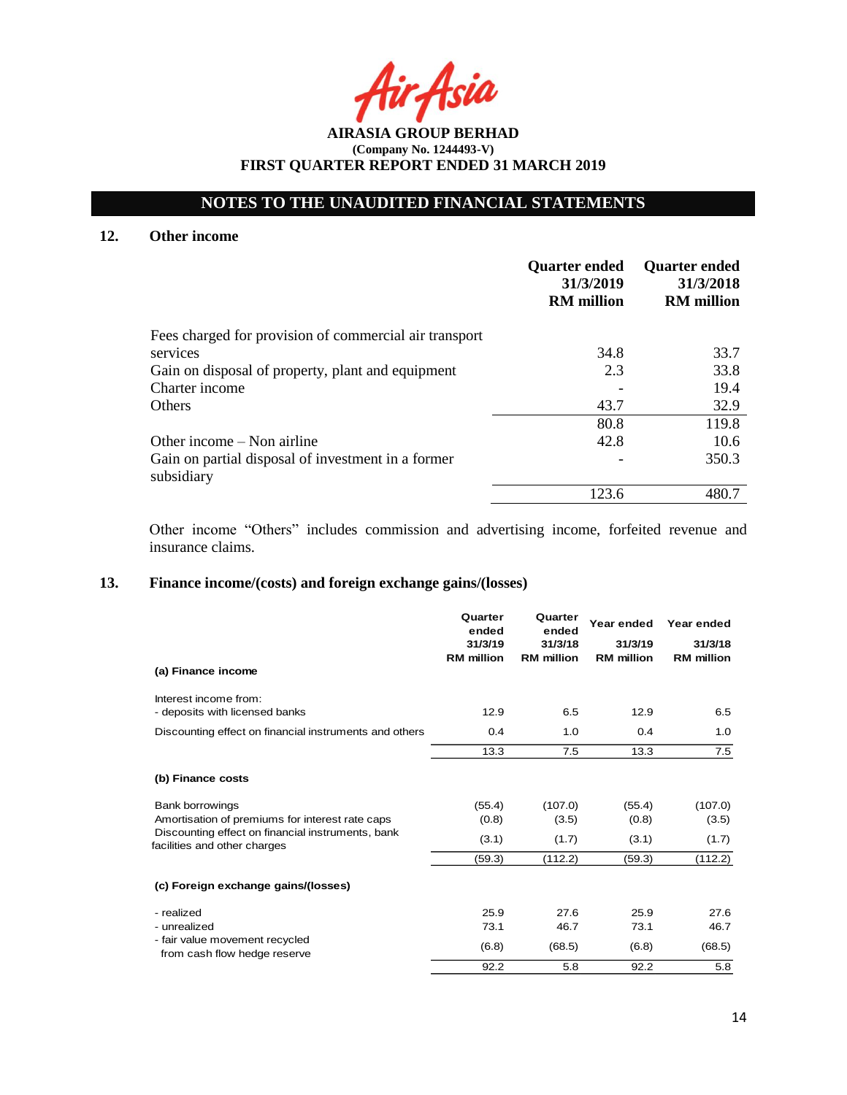# **NOTES TO THE UNAUDITED FINANCIAL STATEMENTS**

## **12. Other income**

|                                                                  | <b>Quarter ended</b><br>31/3/2019<br><b>RM</b> million | <b>Quarter ended</b><br>31/3/2018<br><b>RM</b> million |
|------------------------------------------------------------------|--------------------------------------------------------|--------------------------------------------------------|
| Fees charged for provision of commercial air transport           |                                                        |                                                        |
| services                                                         | 34.8                                                   | 33.7                                                   |
| Gain on disposal of property, plant and equipment                | 2.3                                                    | 33.8                                                   |
| Charter income                                                   |                                                        | 19.4                                                   |
| <b>Others</b>                                                    | 43.7                                                   | 32.9                                                   |
|                                                                  | 80.8                                                   | 119.8                                                  |
| Other income – Non airline                                       | 42.8                                                   | 10.6                                                   |
| Gain on partial disposal of investment in a former<br>subsidiary |                                                        | 350.3                                                  |
|                                                                  | 123.6                                                  | 480.7                                                  |

Other income "Others" includes commission and advertising income, forfeited revenue and insurance claims.

# **13. Finance income/(costs) and foreign exchange gains/(losses)**

|                                                                                   | Quarter<br>ended             | Quarter<br>ended             | Year ended                   | Year ended                   |
|-----------------------------------------------------------------------------------|------------------------------|------------------------------|------------------------------|------------------------------|
|                                                                                   | 31/3/19<br><b>RM</b> million | 31/3/18<br><b>RM</b> million | 31/3/19<br><b>RM</b> million | 31/3/18<br><b>RM</b> million |
| (a) Finance income                                                                |                              |                              |                              |                              |
| Interest income from:                                                             |                              |                              |                              |                              |
| - deposits with licensed banks                                                    | 12.9                         | 6.5                          | 12.9                         | 6.5                          |
| Discounting effect on financial instruments and others                            | 0.4                          | 1.0                          | 0.4                          | 1.0                          |
|                                                                                   | 13.3                         | 7.5                          | 13.3                         | 7.5                          |
| (b) Finance costs                                                                 |                              |                              |                              |                              |
| <b>Bank borrowings</b>                                                            | (55.4)                       | (107.0)                      | (55.4)                       | (107.0)                      |
| Amortisation of premiums for interest rate caps                                   | (0.8)                        | (3.5)                        | (0.8)                        | (3.5)                        |
| Discounting effect on financial instruments, bank<br>facilities and other charges | (3.1)                        | (1.7)                        | (3.1)                        | (1.7)                        |
|                                                                                   | (59.3)                       | (112.2)                      | (59.3)                       | (112.2)                      |
| (c) Foreign exchange gains/(losses)                                               |                              |                              |                              |                              |
| - realized                                                                        | 25.9                         | 27.6                         | 25.9                         | 27.6                         |
| - unrealized                                                                      | 73.1                         | 46.7                         | 73.1                         | 46.7                         |
| - fair value movement recycled<br>from cash flow hedge reserve                    | (6.8)                        | (68.5)                       | (6.8)                        | (68.5)                       |
|                                                                                   | 92.2                         | 5.8                          | 92.2                         | 5.8                          |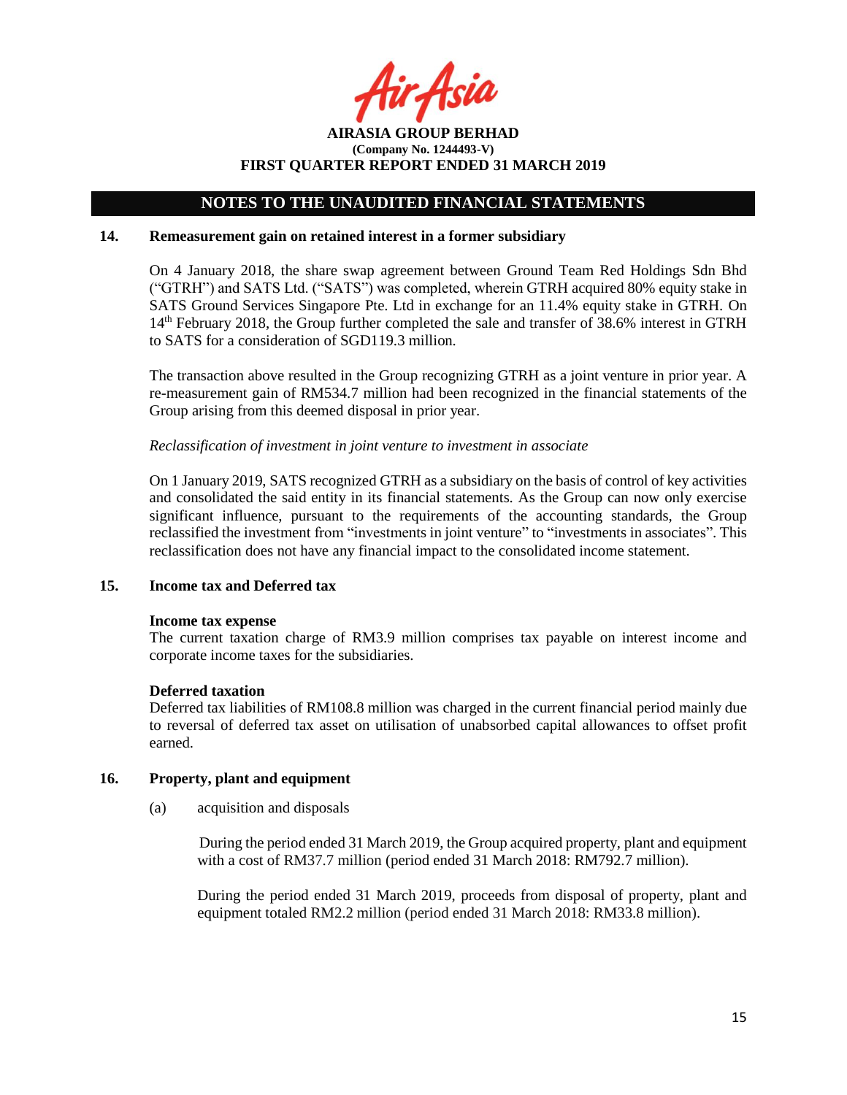Asil

**AIRASIA GROUP BERHAD (Company No. 1244493-V) FIRST QUARTER REPORT ENDED 31 MARCH 2019**

#### **14. Remeasurement gain on retained interest in a former subsidiary**

On 4 January 2018, the share swap agreement between Ground Team Red Holdings Sdn Bhd ("GTRH") and SATS Ltd. ("SATS") was completed, wherein GTRH acquired 80% equity stake in SATS Ground Services Singapore Pte. Ltd in exchange for an 11.4% equity stake in GTRH. On 14<sup>th</sup> February 2018, the Group further completed the sale and transfer of 38.6% interest in GTRH to SATS for a consideration of SGD119.3 million.

The transaction above resulted in the Group recognizing GTRH as a joint venture in prior year. A re-measurement gain of RM534.7 million had been recognized in the financial statements of the Group arising from this deemed disposal in prior year.

### *Reclassification of investment in joint venture to investment in associate*

On 1 January 2019, SATS recognized GTRH as a subsidiary on the basis of control of key activities and consolidated the said entity in its financial statements. As the Group can now only exercise significant influence, pursuant to the requirements of the accounting standards, the Group reclassified the investment from "investments in joint venture" to "investments in associates". This reclassification does not have any financial impact to the consolidated income statement.

#### **15. Income tax and Deferred tax**

#### **Income tax expense**

The current taxation charge of RM3.9 million comprises tax payable on interest income and corporate income taxes for the subsidiaries.

#### **Deferred taxation**

Deferred tax liabilities of RM108.8 million was charged in the current financial period mainly due to reversal of deferred tax asset on utilisation of unabsorbed capital allowances to offset profit earned.

#### **16. Property, plant and equipment**

(a) acquisition and disposals

During the period ended 31 March 2019, the Group acquired property, plant and equipment with a cost of RM37.7 million (period ended 31 March 2018: RM792.7 million).

During the period ended 31 March 2019, proceeds from disposal of property, plant and equipment totaled RM2.2 million (period ended 31 March 2018: RM33.8 million).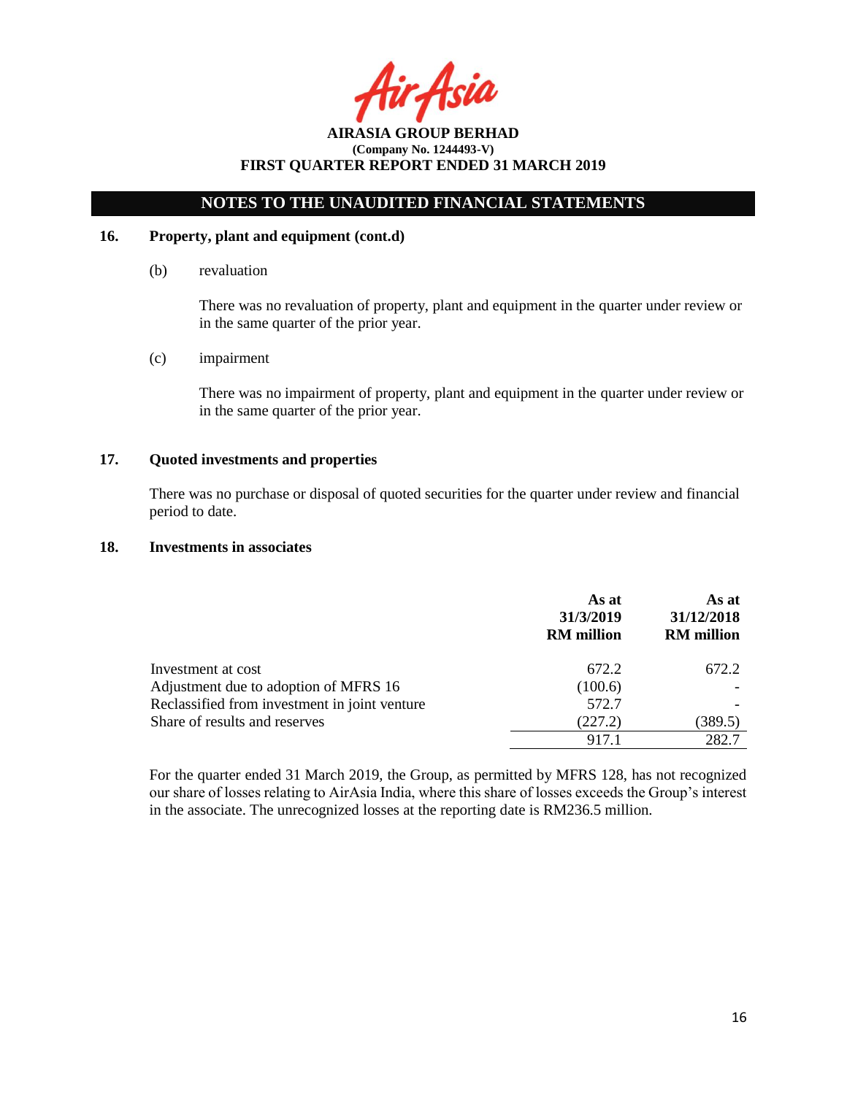Asia

# **NOTES TO THE UNAUDITED FINANCIAL STATEMENTS**

### **16. Property, plant and equipment (cont.d)**

(b) revaluation

There was no revaluation of property, plant and equipment in the quarter under review or in the same quarter of the prior year.

(c) impairment

There was no impairment of property, plant and equipment in the quarter under review or in the same quarter of the prior year.

# **17. Quoted investments and properties**

There was no purchase or disposal of quoted securities for the quarter under review and financial period to date.

#### **18. Investments in associates**

|                                               | As at<br>31/3/2019<br><b>RM</b> million | As at<br>31/12/2018<br><b>RM</b> million |
|-----------------------------------------------|-----------------------------------------|------------------------------------------|
| Investment at cost                            | 672.2                                   | 672.2                                    |
| Adjustment due to adoption of MFRS 16         | (100.6)                                 |                                          |
| Reclassified from investment in joint venture | 572.7                                   |                                          |
| Share of results and reserves                 | (227.2)                                 | (389.5)                                  |
|                                               | 917.1                                   | 282.7                                    |

For the quarter ended 31 March 2019, the Group, as permitted by MFRS 128, has not recognized our share of losses relating to AirAsia India, where this share of losses exceeds the Group's interest in the associate. The unrecognized losses at the reporting date is RM236.5 million.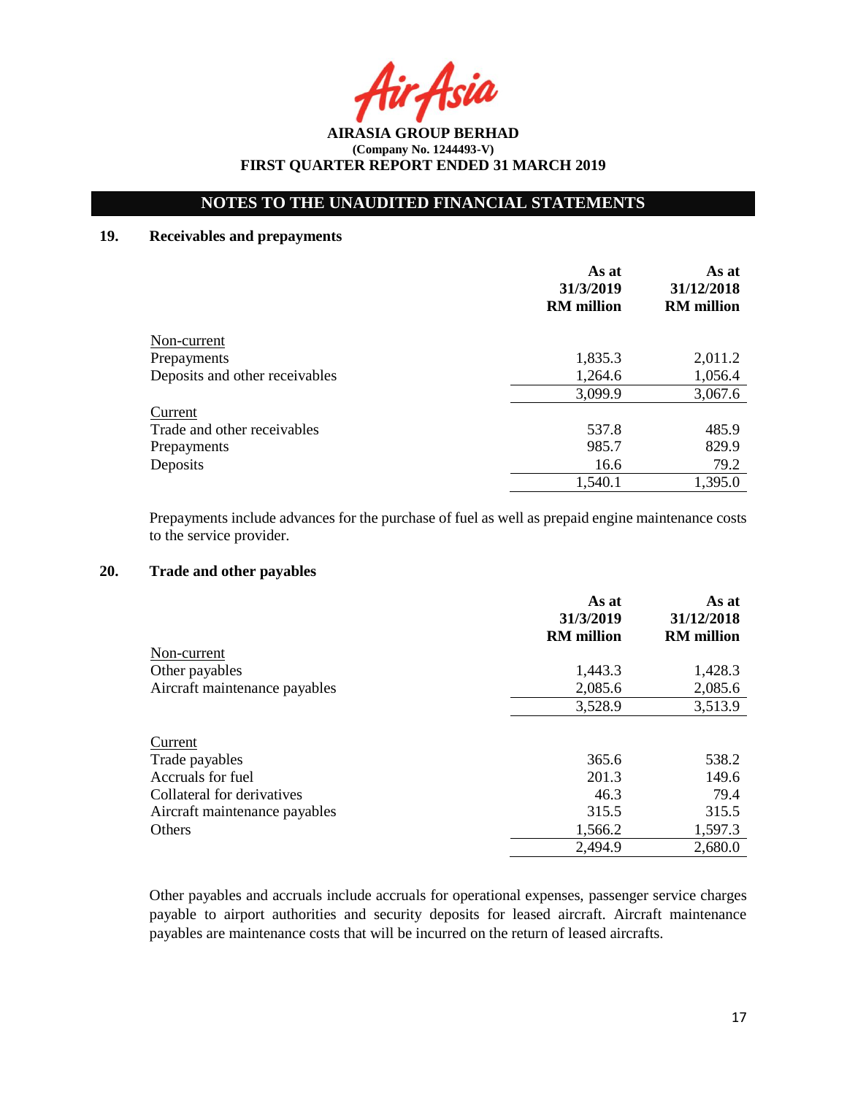Asia

# **NOTES TO THE UNAUDITED FINANCIAL STATEMENTS**

# **19. Receivables and prepayments**

|                                | As at<br>31/3/2019<br><b>RM</b> million | As at<br>31/12/2018<br><b>RM</b> million |
|--------------------------------|-----------------------------------------|------------------------------------------|
| Non-current                    |                                         |                                          |
| Prepayments                    | 1,835.3                                 | 2,011.2                                  |
| Deposits and other receivables | 1,264.6                                 | 1,056.4                                  |
|                                | 3,099.9                                 | 3,067.6                                  |
| Current                        |                                         |                                          |
| Trade and other receivables    | 537.8                                   | 485.9                                    |
| Prepayments                    | 985.7                                   | 829.9                                    |
| Deposits                       | 16.6                                    | 79.2                                     |
|                                | 1,540.1                                 | 1,395.0                                  |

Prepayments include advances for the purchase of fuel as well as prepaid engine maintenance costs to the service provider.

# **20. Trade and other payables**

|                               | As at<br>31/3/2019<br><b>RM</b> million | As at<br>31/12/2018<br><b>RM</b> million |
|-------------------------------|-----------------------------------------|------------------------------------------|
| Non-current                   |                                         |                                          |
| Other payables                | 1,443.3                                 | 1,428.3                                  |
| Aircraft maintenance payables | 2,085.6                                 | 2,085.6                                  |
|                               | 3,528.9                                 | 3,513.9                                  |
| Current                       |                                         |                                          |
| Trade payables                | 365.6                                   | 538.2                                    |
| Accruals for fuel             | 201.3                                   | 149.6                                    |
| Collateral for derivatives    | 46.3                                    | 79.4                                     |
| Aircraft maintenance payables | 315.5                                   | 315.5                                    |
| Others                        | 1,566.2                                 | 1,597.3                                  |
|                               | 2,494.9                                 | 2,680.0                                  |

Other payables and accruals include accruals for operational expenses, passenger service charges payable to airport authorities and security deposits for leased aircraft. Aircraft maintenance payables are maintenance costs that will be incurred on the return of leased aircrafts.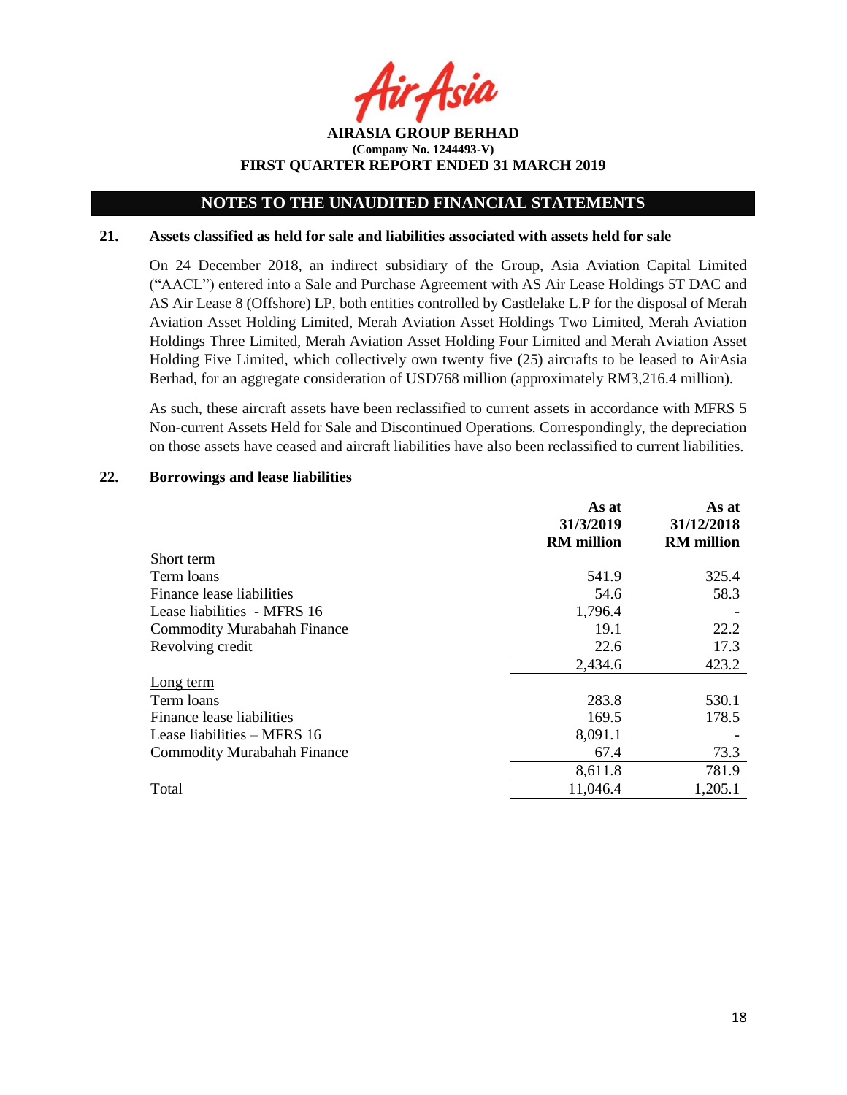Asia

**AIRASIA GROUP BERHAD (Company No. 1244493-V) FIRST QUARTER REPORT ENDED 31 MARCH 2019**

#### **21. Assets classified as held for sale and liabilities associated with assets held for sale**

On 24 December 2018, an indirect subsidiary of the Group, Asia Aviation Capital Limited ("AACL") entered into a Sale and Purchase Agreement with AS Air Lease Holdings 5T DAC and AS Air Lease 8 (Offshore) LP, both entities controlled by Castlelake L.P for the disposal of Merah Aviation Asset Holding Limited, Merah Aviation Asset Holdings Two Limited, Merah Aviation Holdings Three Limited, Merah Aviation Asset Holding Four Limited and Merah Aviation Asset Holding Five Limited, which collectively own twenty five (25) aircrafts to be leased to AirAsia Berhad, for an aggregate consideration of USD768 million (approximately RM3,216.4 million).

As such, these aircraft assets have been reclassified to current assets in accordance with MFRS 5 Non-current Assets Held for Sale and Discontinued Operations. Correspondingly, the depreciation on those assets have ceased and aircraft liabilities have also been reclassified to current liabilities.

#### **22. Borrowings and lease liabilities**

|                                    | As at<br>31/3/2019<br><b>RM</b> million | As at<br>31/12/2018<br><b>RM</b> million |
|------------------------------------|-----------------------------------------|------------------------------------------|
| Short term                         |                                         |                                          |
| Term loans                         | 541.9                                   | 325.4                                    |
| Finance lease liabilities          | 54.6                                    | 58.3                                     |
| Lease liabilities - MFRS 16        | 1,796.4                                 |                                          |
| <b>Commodity Murabahah Finance</b> | 19.1                                    | 22.2                                     |
| Revolving credit                   | 22.6                                    | 17.3                                     |
|                                    | 2,434.6                                 | 423.2                                    |
| Long term                          |                                         |                                          |
| Term loans                         | 283.8                                   | 530.1                                    |
| Finance lease liabilities          | 169.5                                   | 178.5                                    |
| Lease liabilities – MFRS 16        | 8,091.1                                 |                                          |
| <b>Commodity Murabahah Finance</b> | 67.4                                    | 73.3                                     |
|                                    | 8,611.8                                 | 781.9                                    |
| Total                              | 11,046.4                                | 1,205.1                                  |
|                                    |                                         |                                          |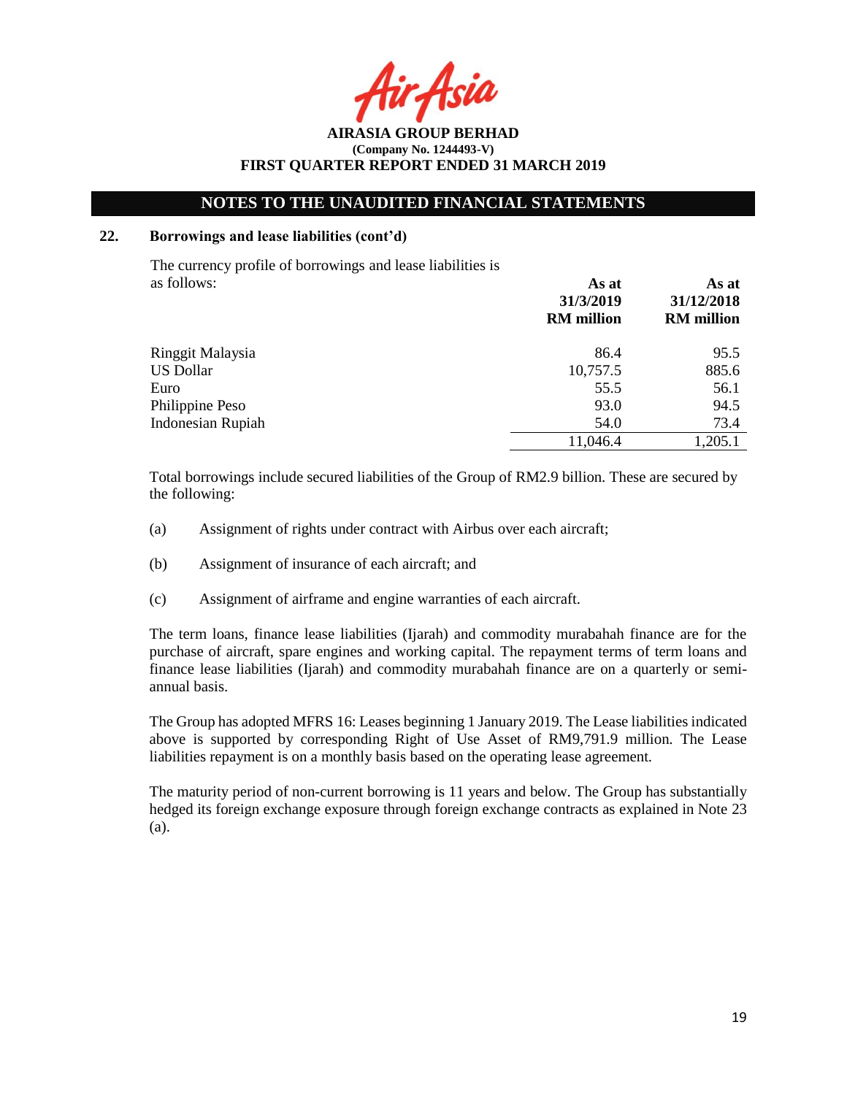Asil

**AIRASIA GROUP BERHAD (Company No. 1244493-V) FIRST QUARTER REPORT ENDED 31 MARCH 2019**

#### **22. Borrowings and lease liabilities (cont'd)**

The currency profile of borrowings and lease liabilities is as follows: **As at**

|                          | 31/3/2019<br><b>RM</b> million | 31/12/2018<br><b>RM</b> million |
|--------------------------|--------------------------------|---------------------------------|
| Ringgit Malaysia         | 86.4                           | 95.5                            |
| <b>US Dollar</b>         | 10,757.5                       | 885.6                           |
| Euro                     | 55.5                           | 56.1                            |
| Philippine Peso          | 93.0                           | 94.5                            |
| <b>Indonesian Rupiah</b> | 54.0                           | 73.4                            |
|                          | 11,046.4                       | 1,205.1                         |

Total borrowings include secured liabilities of the Group of RM2.9 billion. These are secured by the following:

- (a) Assignment of rights under contract with Airbus over each aircraft;
- (b) Assignment of insurance of each aircraft; and
- (c) Assignment of airframe and engine warranties of each aircraft.

The term loans, finance lease liabilities (Ijarah) and commodity murabahah finance are for the purchase of aircraft, spare engines and working capital. The repayment terms of term loans and finance lease liabilities (Ijarah) and commodity murabahah finance are on a quarterly or semiannual basis.

The Group has adopted MFRS 16: Leases beginning 1 January 2019. The Lease liabilities indicated above is supported by corresponding Right of Use Asset of RM9,791.9 million. The Lease liabilities repayment is on a monthly basis based on the operating lease agreement.

The maturity period of non-current borrowing is 11 years and below. The Group has substantially hedged its foreign exchange exposure through foreign exchange contracts as explained in Note 23 (a).

**As at**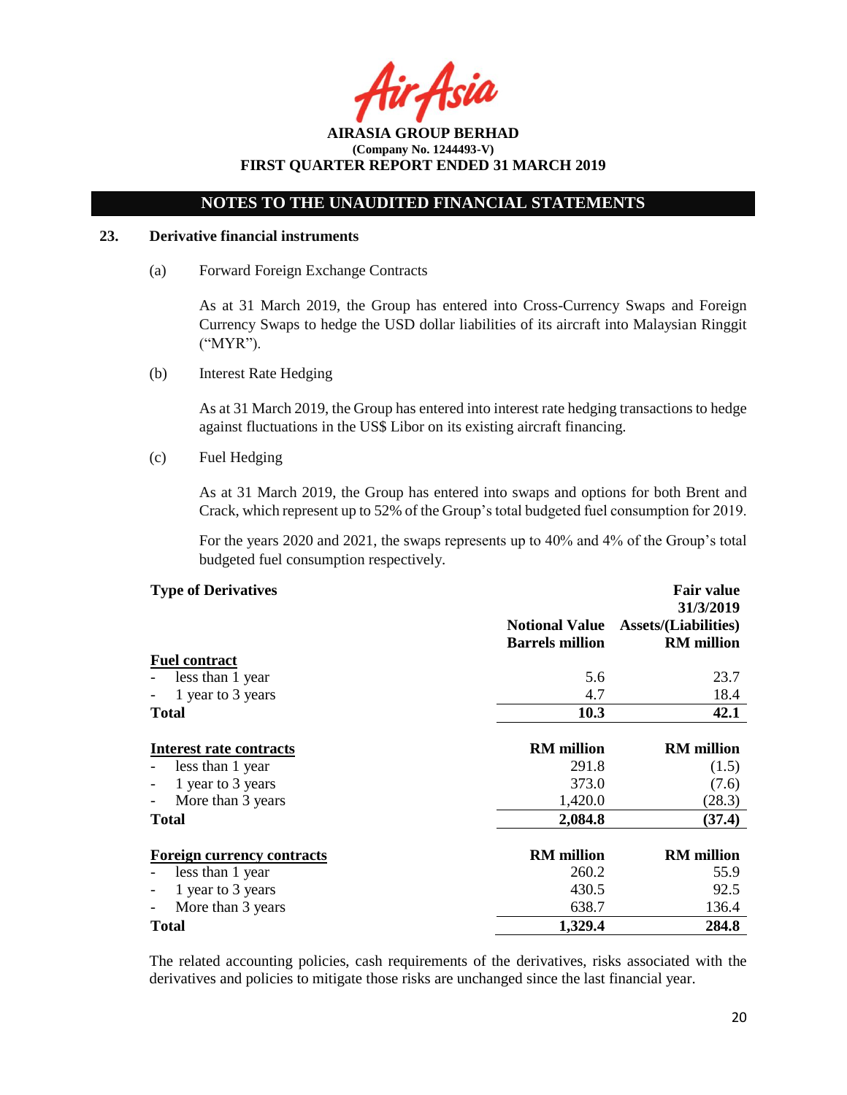Asil

# **NOTES TO THE UNAUDITED FINANCIAL STATEMENTS**

### **23. Derivative financial instruments**

(a) Forward Foreign Exchange Contracts

As at 31 March 2019, the Group has entered into Cross-Currency Swaps and Foreign Currency Swaps to hedge the USD dollar liabilities of its aircraft into Malaysian Ringgit ("MYR").

(b) Interest Rate Hedging

As at 31 March 2019, the Group has entered into interest rate hedging transactions to hedge against fluctuations in the US\$ Libor on its existing aircraft financing.

(c) Fuel Hedging

As at 31 March 2019, the Group has entered into swaps and options for both Brent and Crack, which represent up to 52% of the Group's total budgeted fuel consumption for 2019.

For the years 2020 and 2021, the swaps represents up to 40% and 4% of the Group's total budgeted fuel consumption respectively.

| <b>Type of Derivatives</b> |  |
|----------------------------|--|
|----------------------------|--|

|                                   | <b>Notional Value</b><br><b>Barrels million</b> | 31/3/2019<br><b>Assets/(Liabilities)</b><br><b>RM</b> million |
|-----------------------------------|-------------------------------------------------|---------------------------------------------------------------|
| <b>Fuel contract</b>              |                                                 |                                                               |
| less than 1 year                  | 5.6                                             | 23.7                                                          |
| 1 year to 3 years                 | 4.7                                             | 18.4                                                          |
| <b>Total</b>                      | <b>10.3</b>                                     | 42.1                                                          |
| Interest rate contracts           | <b>RM</b> million                               | <b>RM</b> million                                             |
| less than 1 year                  | 291.8                                           | (1.5)                                                         |
| 1 year to 3 years                 | 373.0                                           | (7.6)                                                         |
| More than 3 years                 | 1,420.0                                         | (28.3)                                                        |
| <b>Total</b>                      | 2,084.8                                         | (37.4)                                                        |
| <b>Foreign currency contracts</b> | <b>RM</b> million                               | <b>RM</b> million                                             |
| less than 1 year                  | 260.2                                           | 55.9                                                          |
| 1 year to 3 years                 | 430.5                                           | 92.5                                                          |
| More than 3 years                 | 638.7                                           | 136.4                                                         |
| <b>Total</b>                      | 1,329.4                                         | 284.8                                                         |

The related accounting policies, cash requirements of the derivatives, risks associated with the derivatives and policies to mitigate those risks are unchanged since the last financial year.

**Fair value**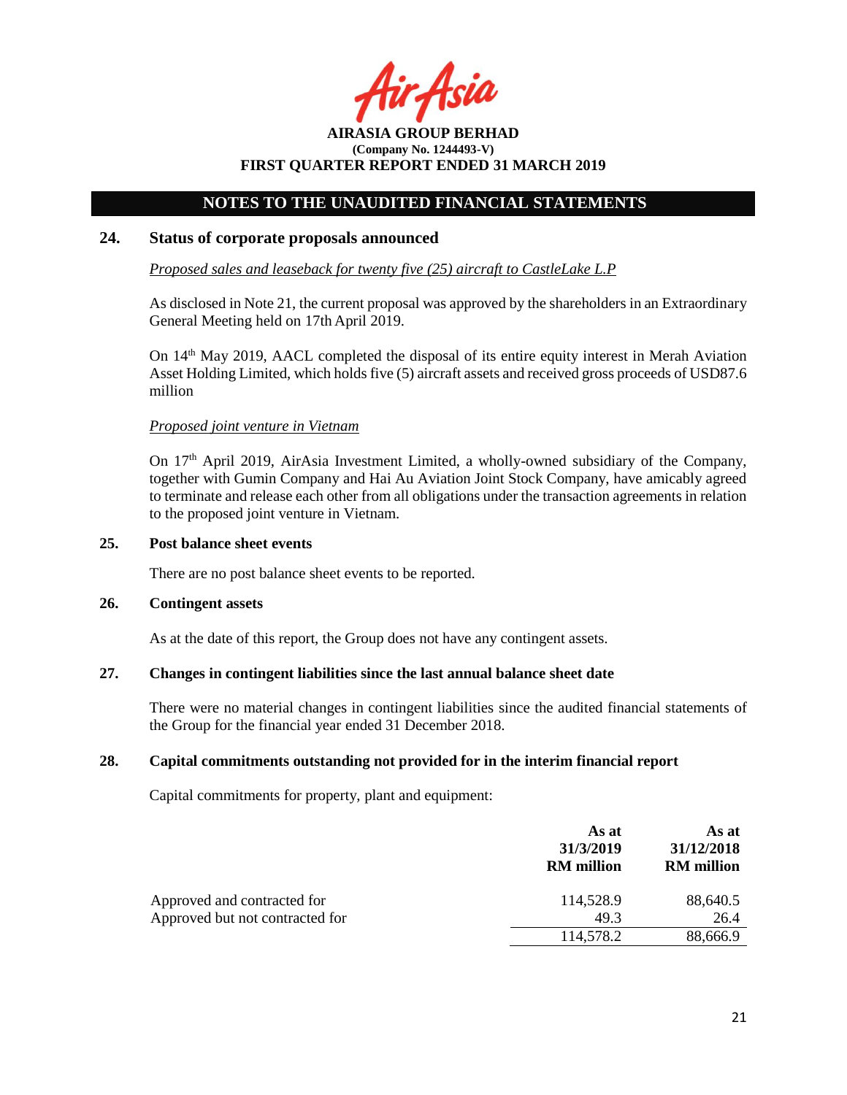r Asia

# **NOTES TO THE UNAUDITED FINANCIAL STATEMENTS**

## **24. Status of corporate proposals announced**

*Proposed sales and leaseback for twenty five (25) aircraft to CastleLake L.P*

As disclosed in Note 21, the current proposal was approved by the shareholders in an Extraordinary General Meeting held on 17th April 2019.

On 14<sup>th</sup> May 2019, AACL completed the disposal of its entire equity interest in Merah Aviation Asset Holding Limited, which holds five (5) aircraft assets and received gross proceeds of USD87.6 million

### *Proposed joint venture in Vietnam*

On  $17<sup>th</sup>$  April 2019, AirAsia Investment Limited, a wholly-owned subsidiary of the Company, together with Gumin Company and Hai Au Aviation Joint Stock Company, have amicably agreed to terminate and release each other from all obligations under the transaction agreements in relation to the proposed joint venture in Vietnam.

### **25. Post balance sheet events**

There are no post balance sheet events to be reported.

#### **26. Contingent assets**

As at the date of this report, the Group does not have any contingent assets.

# **27. Changes in contingent liabilities since the last annual balance sheet date**

There were no material changes in contingent liabilities since the audited financial statements of the Group for the financial year ended 31 December 2018.

# **28. Capital commitments outstanding not provided for in the interim financial report**

Capital commitments for property, plant and equipment:

|                                 | As at<br>31/3/2019<br><b>RM</b> million | As at<br>31/12/2018<br><b>RM</b> million |
|---------------------------------|-----------------------------------------|------------------------------------------|
| Approved and contracted for     | 114,528.9                               | 88,640.5                                 |
| Approved but not contracted for | 49.3                                    | 26.4                                     |
|                                 | 114,578.2                               | 88,666.9                                 |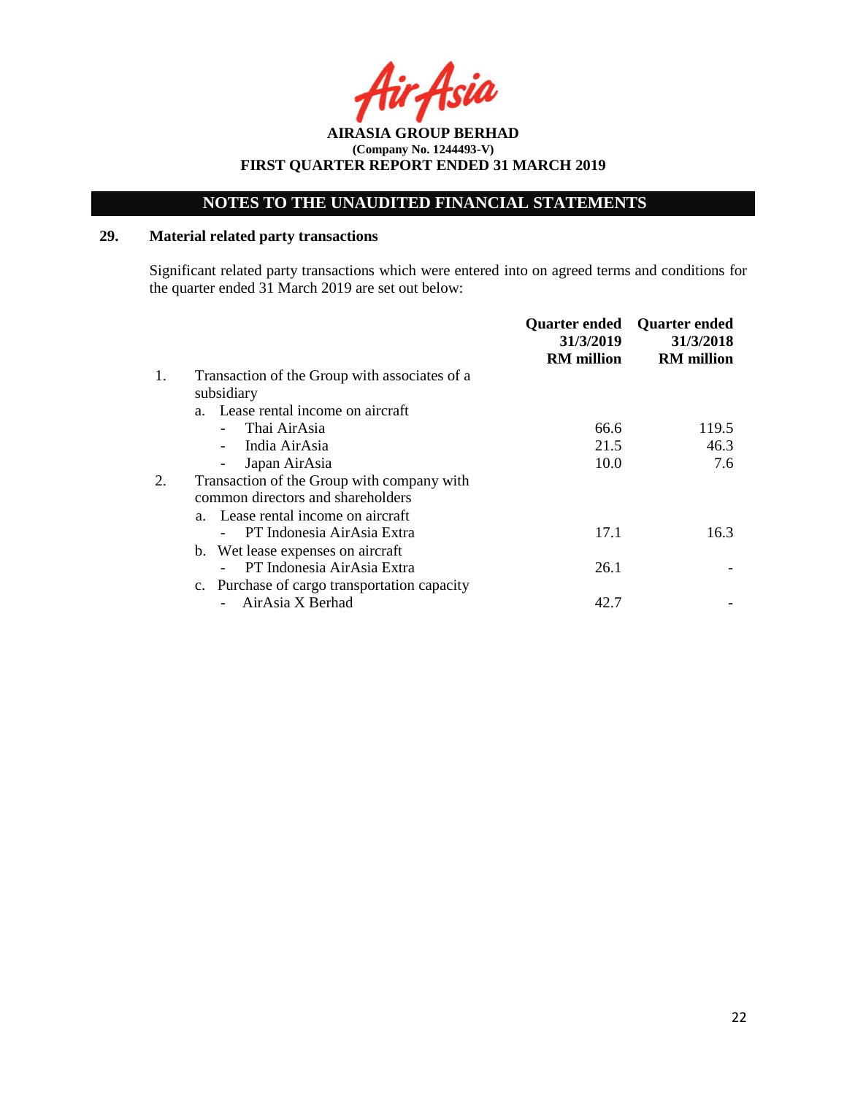**AIRASIA GROUP BERHAD (Company No. 1244493-V) FIRST QUARTER REPORT ENDED 31 MARCH 2019**

# **29. Material related party transactions**

Significant related party transactions which were entered into on agreed terms and conditions for the quarter ended 31 March 2019 are set out below:

|    |                                               | <b>Quarter ended</b><br>31/3/2019<br><b>RM</b> million | <b>Quarter ended</b><br>31/3/2018<br><b>RM</b> million |
|----|-----------------------------------------------|--------------------------------------------------------|--------------------------------------------------------|
| 1. | Transaction of the Group with associates of a |                                                        |                                                        |
|    | subsidiary                                    |                                                        |                                                        |
|    | a. Lease rental income on aircraft            |                                                        |                                                        |
|    | Thai AirAsia                                  | 66.6                                                   | 119.5                                                  |
|    | India AirAsia                                 | 21.5                                                   | 46.3                                                   |
|    | Japan AirAsia                                 | 10.0                                                   | 7.6                                                    |
|    | Transaction of the Group with company with    |                                                        |                                                        |
|    | common directors and shareholders             |                                                        |                                                        |
|    | a. Lease rental income on aircraft            |                                                        |                                                        |
|    | PT Indonesia AirAsia Extra                    | 17.1                                                   | 16.3                                                   |
|    | b. Wet lease expenses on aircraft             |                                                        |                                                        |
|    | PT Indonesia AirAsia Extra                    | 26.1                                                   |                                                        |
|    | c. Purchase of cargo transportation capacity  |                                                        |                                                        |
|    | AirAsia X Berhad                              | 42.7                                                   |                                                        |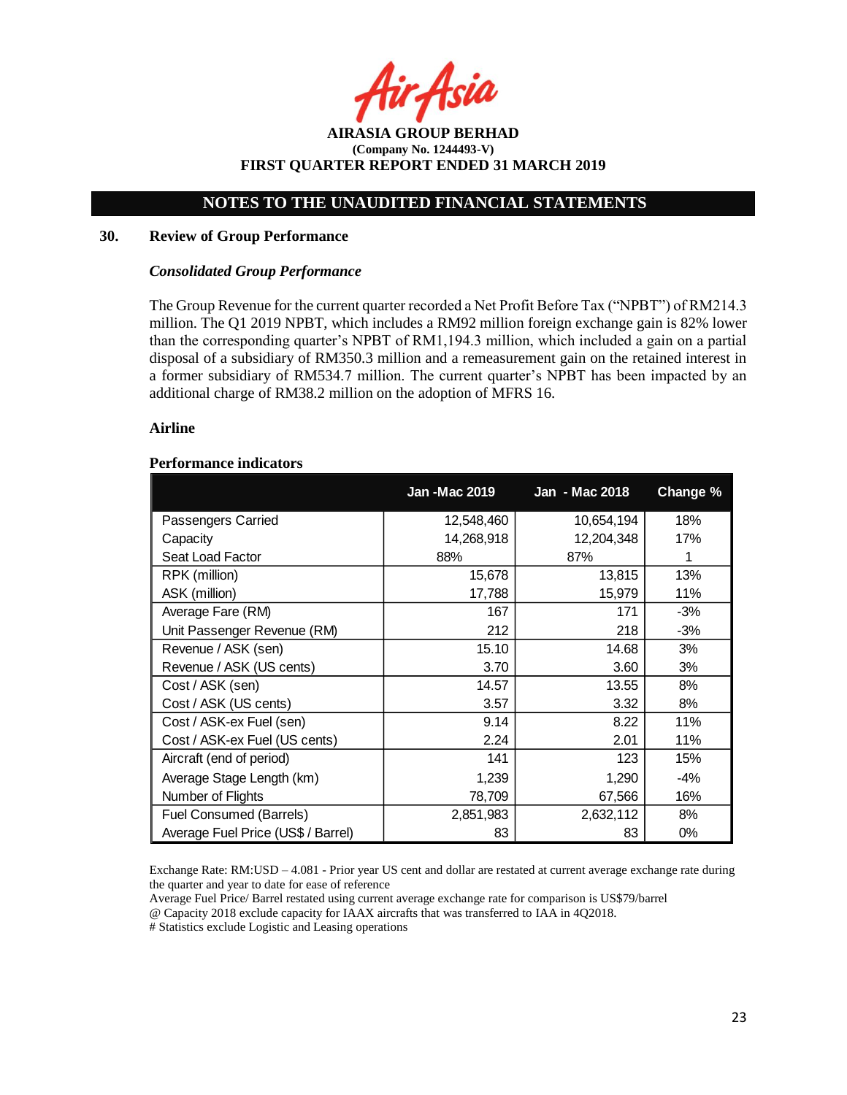Asia

**AIRASIA GROUP BERHAD (Company No. 1244493-V) FIRST QUARTER REPORT ENDED 31 MARCH 2019**

#### **30. Review of Group Performance**

#### *Consolidated Group Performance*

The Group Revenue for the current quarter recorded a Net Profit Before Tax ("NPBT") of RM214.3 million. The Q1 2019 NPBT, which includes a RM92 million foreign exchange gain is 82% lower than the corresponding quarter's NPBT of RM1,194.3 million, which included a gain on a partial disposal of a subsidiary of RM350.3 million and a remeasurement gain on the retained interest in a former subsidiary of RM534.7 million. The current quarter's NPBT has been impacted by an additional charge of RM38.2 million on the adoption of MFRS 16.

#### **Airline**

#### **Performance indicators**

|                                    | <b>Jan-Mac 2019</b> | Jan - Mac 2018 | Change % |
|------------------------------------|---------------------|----------------|----------|
| Passengers Carried                 | 12,548,460          | 10,654,194     | 18%      |
| Capacity                           | 14,268,918          | 12,204,348     | 17%      |
| Seat Load Factor                   | 88%                 | 87%            |          |
| RPK (million)                      | 15,678              | 13,815         | 13%      |
| ASK (million)                      | 17,788              | 15,979         | 11%      |
| Average Fare (RM)                  | 167                 | 171            | $-3%$    |
| Unit Passenger Revenue (RM)        | 212                 | 218            | $-3%$    |
| Revenue / ASK (sen)                | 15.10               | 14.68          | 3%       |
| Revenue / ASK (US cents)           | 3.70                | 3.60           | 3%       |
| Cost / ASK (sen)                   | 14.57               | 13.55          | 8%       |
| Cost / ASK (US cents)              | 3.57                | 3.32           | 8%       |
| Cost / ASK-ex Fuel (sen)           | 9.14                | 8.22           | 11%      |
| Cost / ASK-ex Fuel (US cents)      | 2.24                | 2.01           | 11%      |
| Aircraft (end of period)           | 141                 | 123            | 15%      |
| Average Stage Length (km)          | 1,239               | 1,290          | $-4%$    |
| Number of Flights                  | 78,709              | 67,566         | 16%      |
| Fuel Consumed (Barrels)            | 2,851,983           | 2,632,112      | 8%       |
| Average Fuel Price (US\$ / Barrel) | 83                  | 83             | $0\%$    |

Exchange Rate: RM:USD – 4.081 - Prior year US cent and dollar are restated at current average exchange rate during the quarter and year to date for ease of reference

Average Fuel Price/ Barrel restated using current average exchange rate for comparison is US\$79/barrel @ Capacity 2018 exclude capacity for IAAX aircrafts that was transferred to IAA in 4Q2018.

# Statistics exclude Logistic and Leasing operations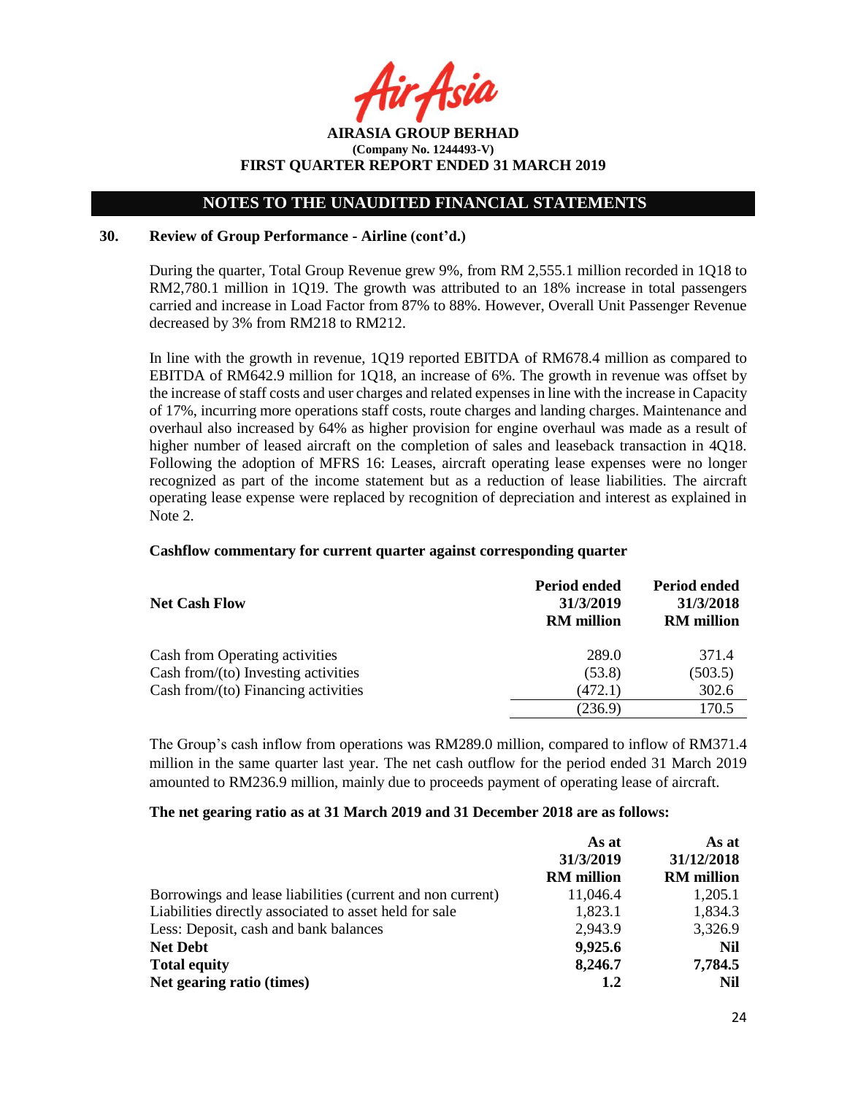**AIRASIA GROUP BERHAD (Company No. 1244493-V) FIRST QUARTER REPORT ENDED 31 MARCH 2019**

#### **30. Review of Group Performance - Airline (cont'd.)**

During the quarter, Total Group Revenue grew 9%, from RM 2,555.1 million recorded in 1Q18 to RM2,780.1 million in 1Q19. The growth was attributed to an 18% increase in total passengers carried and increase in Load Factor from 87% to 88%. However, Overall Unit Passenger Revenue decreased by 3% from RM218 to RM212.

In line with the growth in revenue, 1Q19 reported EBITDA of RM678.4 million as compared to EBITDA of RM642.9 million for 1Q18, an increase of 6%. The growth in revenue was offset by the increase of staff costs and user charges and related expenses in line with the increase in Capacity of 17%, incurring more operations staff costs, route charges and landing charges. Maintenance and overhaul also increased by 64% as higher provision for engine overhaul was made as a result of higher number of leased aircraft on the completion of sales and leaseback transaction in 4Q18. Following the adoption of MFRS 16: Leases, aircraft operating lease expenses were no longer recognized as part of the income statement but as a reduction of lease liabilities. The aircraft operating lease expense were replaced by recognition of depreciation and interest as explained in Note 2.

#### **Cashflow commentary for current quarter against corresponding quarter**

| <b>Net Cash Flow</b>                   | Period ended<br>31/3/2019<br><b>RM</b> million | Period ended<br>31/3/2018<br><b>RM</b> million |
|----------------------------------------|------------------------------------------------|------------------------------------------------|
| Cash from Operating activities         | 289.0                                          | 371.4                                          |
| Cash from/(to) Investing activities    | (53.8)                                         | (503.5)                                        |
| Cash from/ $(to)$ Financing activities | (472.1)                                        | 302.6                                          |
|                                        | (236.9)                                        | 170.5                                          |

The Group's cash inflow from operations was RM289.0 million, compared to inflow of RM371.4 million in the same quarter last year. The net cash outflow for the period ended 31 March 2019 amounted to RM236.9 million, mainly due to proceeds payment of operating lease of aircraft.

#### **The net gearing ratio as at 31 March 2019 and 31 December 2018 are as follows:**

|                                                            | As at             | As at             |  |
|------------------------------------------------------------|-------------------|-------------------|--|
|                                                            | 31/3/2019         | 31/12/2018        |  |
|                                                            | <b>RM</b> million | <b>RM</b> million |  |
| Borrowings and lease liabilities (current and non current) | 11,046.4          | 1,205.1           |  |
| Liabilities directly associated to asset held for sale     | 1,823.1           | 1,834.3           |  |
| Less: Deposit, cash and bank balances                      | 2,943.9           | 3,326.9           |  |
| <b>Net Debt</b>                                            | 9,925.6           | Nil               |  |
| <b>Total equity</b>                                        | 8,246.7           | 7,784.5           |  |
| Net gearing ratio (times)                                  | 1.2               | Nil               |  |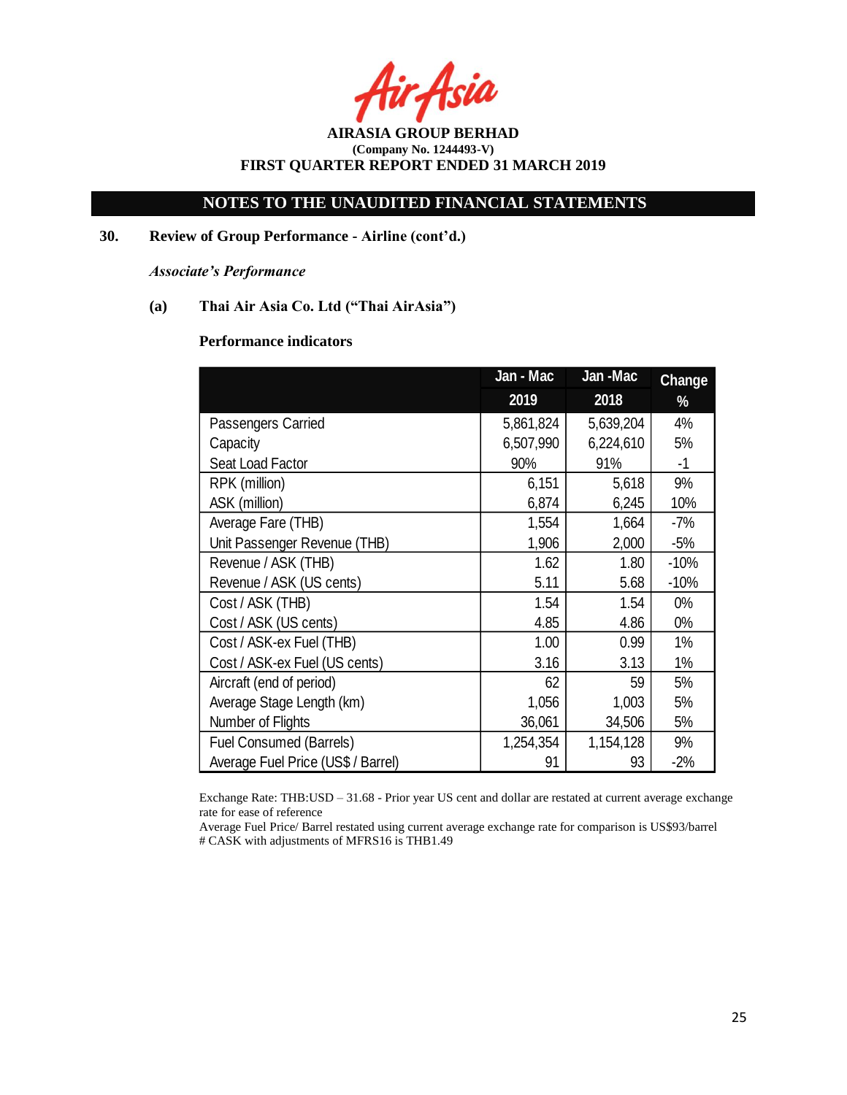Asia

**AIRASIA GROUP BERHAD (Company No. 1244493-V) FIRST QUARTER REPORT ENDED 31 MARCH 2019**

**30. Review of Group Performance - Airline (cont'd.)**

*Associate's Performance*

# **(a) Thai Air Asia Co. Ltd ("Thai AirAsia")**

#### **Performance indicators**

|                                    | Jan - Mac | Jan-Mac   | <b>Change</b> |
|------------------------------------|-----------|-----------|---------------|
|                                    | 2019      | 2018      | %             |
| Passengers Carried                 | 5,861,824 | 5,639,204 | 4%            |
| Capacity                           | 6,507,990 | 6,224,610 | 5%            |
| Seat Load Factor                   | 90%       | 91%       | $-1$          |
| RPK (million)                      | 6,151     | 5,618     | 9%            |
| ASK (million)                      | 6,874     | 6,245     | 10%           |
| Average Fare (THB)                 | 1,554     | 1,664     | -7%           |
| Unit Passenger Revenue (THB)       | 1,906     | 2,000     | $-5%$         |
| Revenue / ASK (THB)                | 1.62      | 1.80      | $-10%$        |
| Revenue / ASK (US cents)           | 5.11      | 5.68      | $-10%$        |
| Cost / ASK (THB)                   | 1.54      | 1.54      | $0\%$         |
| Cost / ASK (US cents)              | 4.85      | 4.86      | $0\%$         |
| Cost / ASK-ex Fuel (THB)           | 1.00      | 0.99      | 1%            |
| Cost / ASK-ex Fuel (US cents)      | 3.16      | 3.13      | $1\%$         |
| Aircraft (end of period)           | 62        | 59        | 5%            |
| Average Stage Length (km)          | 1,056     | 1,003     | 5%            |
| Number of Flights                  | 36,061    | 34,506    | 5%            |
| <b>Fuel Consumed (Barrels)</b>     | 1,254,354 | 1,154,128 | 9%            |
| Average Fuel Price (US\$ / Barrel) | 91        | 93        | $-2%$         |

Exchange Rate: THB:USD – 31.68 - Prior year US cent and dollar are restated at current average exchange rate for ease of reference

Average Fuel Price/ Barrel restated using current average exchange rate for comparison is US\$93/barrel # CASK with adjustments of MFRS16 is THB1.49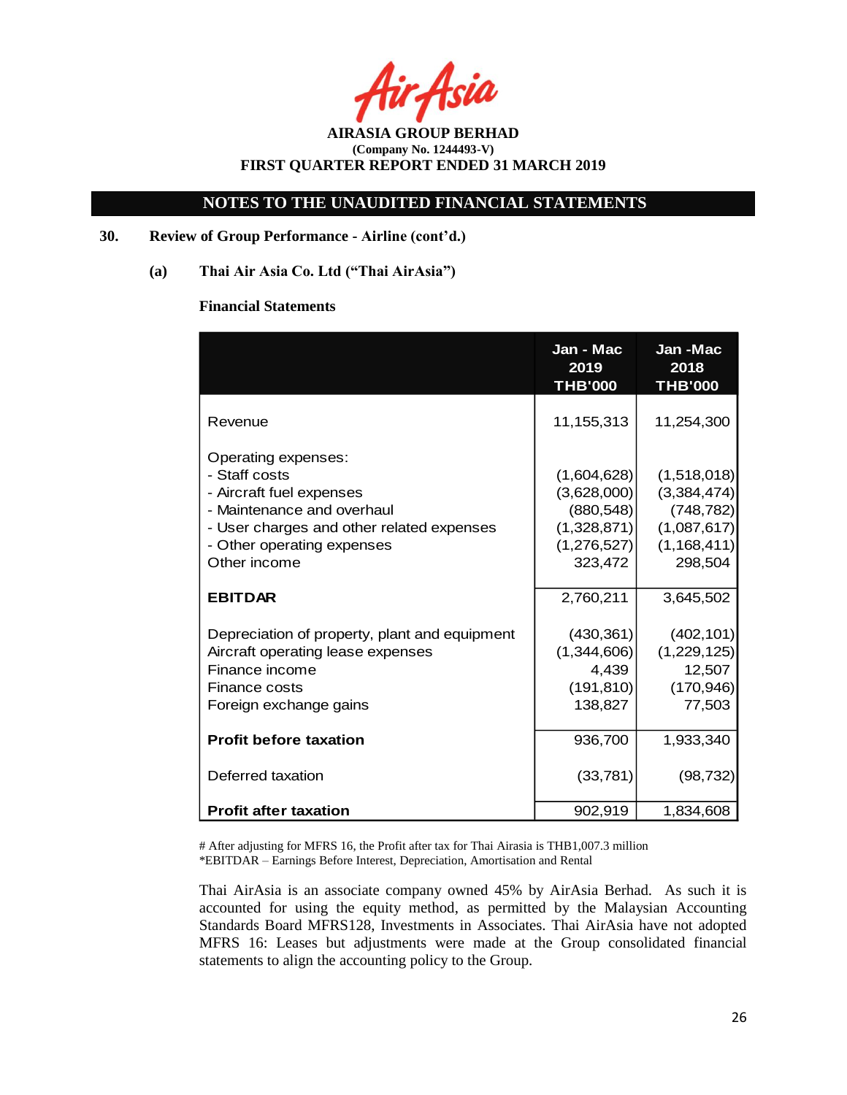# **NOTES TO THE UNAUDITED FINANCIAL STATEMENTS**

# **30. Review of Group Performance - Airline (cont'd.)**

**(a) Thai Air Asia Co. Ltd ("Thai AirAsia")**

#### **Financial Statements**

|                                                                                                                                                                                           | Jan - Mac<br>2019<br><b>THB'000</b>                                               | Jan-Mac<br>2018<br><b>THB'000</b>                                                   |
|-------------------------------------------------------------------------------------------------------------------------------------------------------------------------------------------|-----------------------------------------------------------------------------------|-------------------------------------------------------------------------------------|
| Revenue                                                                                                                                                                                   | 11,155,313                                                                        | 11,254,300                                                                          |
| Operating expenses:<br>- Staff costs<br>- Aircraft fuel expenses<br>- Maintenance and overhaul<br>- User charges and other related expenses<br>- Other operating expenses<br>Other income | (1,604,628)<br>(3,628,000)<br>(880, 548)<br>(1,328,871)<br>(1,276,527)<br>323,472 | (1,518,018)<br>(3,384,474)<br>(748, 782)<br>(1,087,617)<br>(1, 168, 411)<br>298,504 |
| <b>EBITDAR</b>                                                                                                                                                                            | 2,760,211                                                                         | 3,645,502                                                                           |
| Depreciation of property, plant and equipment<br>Aircraft operating lease expenses<br>Finance income<br>Finance costs<br>Foreign exchange gains                                           | (430, 361)<br>(1,344,606)<br>4,439<br>(191, 810)<br>138,827                       | (402, 101)<br>(1,229,125)<br>12,507<br>(170, 946)<br>77,503                         |
| <b>Profit before taxation</b>                                                                                                                                                             | 936,700                                                                           | 1,933,340                                                                           |
| Deferred taxation                                                                                                                                                                         | (33, 781)                                                                         | (98, 732)                                                                           |
| <b>Profit after taxation</b>                                                                                                                                                              | 902,919                                                                           | 1,834,608                                                                           |

# After adjusting for MFRS 16, the Profit after tax for Thai Airasia is THB1,007.3 million \*EBITDAR – Earnings Before Interest, Depreciation, Amortisation and Rental

Thai AirAsia is an associate company owned 45% by AirAsia Berhad. As such it is accounted for using the equity method, as permitted by the Malaysian Accounting Standards Board MFRS128, Investments in Associates. Thai AirAsia have not adopted MFRS 16: Leases but adjustments were made at the Group consolidated financial statements to align the accounting policy to the Group.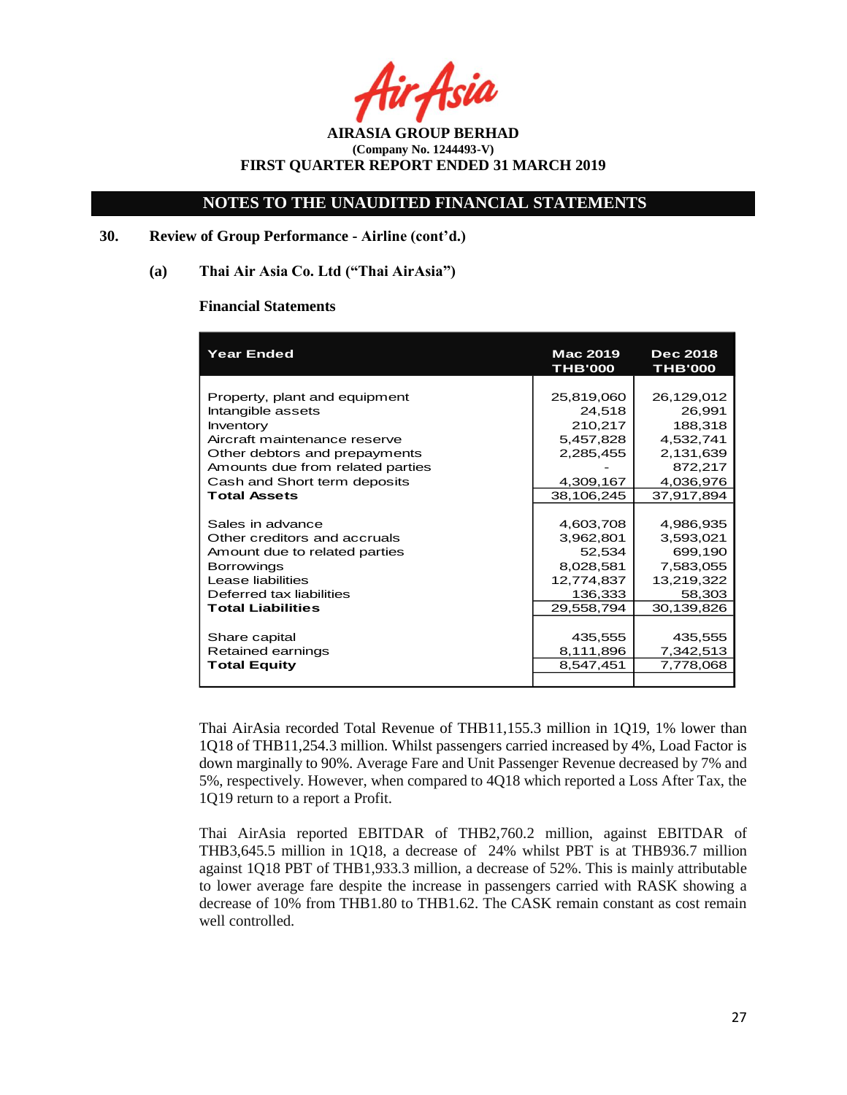Asia

# **NOTES TO THE UNAUDITED FINANCIAL STATEMENTS**

## **30. Review of Group Performance - Airline (cont'd.)**

### **(a) Thai Air Asia Co. Ltd ("Thai AirAsia")**

#### **Financial Statements**

| <b>Year Ended</b>                | Mac 2019<br><b>THB'000</b> | <b>Dec 2018</b><br><b>THB'000</b> |
|----------------------------------|----------------------------|-----------------------------------|
|                                  |                            |                                   |
| Property, plant and equipment    | 25,819,060                 | 26,129,012                        |
| Intangible assets                | 24,518                     | 26,991                            |
| Inventory                        | 210,217                    | 188,318                           |
| Aircraft maintenance reserve     | 5,457,828                  | 4,532,741                         |
| Other debtors and prepayments    | 2,285,455                  | 2,131,639                         |
| Amounts due from related parties |                            | 872,217                           |
| Cash and Short term deposits     | 4,309,167                  | 4,036,976                         |
| <b>Total Assets</b>              | 38,106,245                 | 37,917,894                        |
|                                  |                            |                                   |
| Sales in advance                 | 4,603,708                  | 4,986,935                         |
| Other creditors and accruals     | 3,962,801                  | 3,593,021                         |
| Amount due to related parties    | 52,534                     | 699,190                           |
| <b>Borrowings</b>                | 8,028,581                  | 7,583,055                         |
| Lease liabilities                | 12,774,837                 | 13,219,322                        |
| Deferred tax liabilities         | 136,333                    | 58,303                            |
| <b>Total Liabilities</b>         | 29,558,794                 | 30,139,826                        |
|                                  |                            |                                   |
| Share capital                    | 435,555                    | 435,555                           |
| Retained earnings                | 8,111,896                  | 7,342,513                         |
| <b>Total Equity</b>              | 8,547,451                  | 7,778,068                         |
|                                  |                            |                                   |

Thai AirAsia recorded Total Revenue of THB11,155.3 million in 1Q19, 1% lower than 1Q18 of THB11,254.3 million. Whilst passengers carried increased by 4%, Load Factor is down marginally to 90%. Average Fare and Unit Passenger Revenue decreased by 7% and 5%, respectively. However, when compared to 4Q18 which reported a Loss After Tax, the 1Q19 return to a report a Profit.

Thai AirAsia reported EBITDAR of THB2,760.2 million, against EBITDAR of THB3,645.5 million in 1Q18, a decrease of 24% whilst PBT is at THB936.7 million against 1Q18 PBT of THB1,933.3 million, a decrease of 52%. This is mainly attributable to lower average fare despite the increase in passengers carried with RASK showing a decrease of 10% from THB1.80 to THB1.62. The CASK remain constant as cost remain well controlled.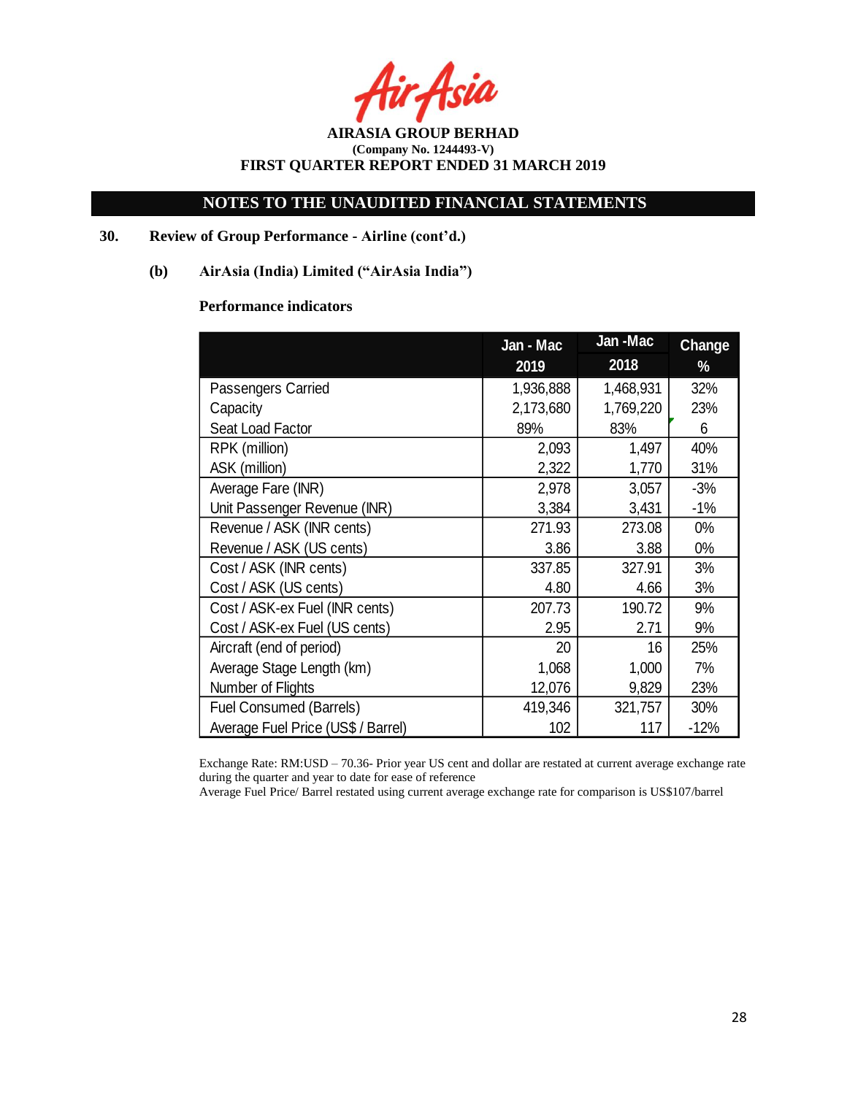Asia

# **NOTES TO THE UNAUDITED FINANCIAL STATEMENTS**

# **30. Review of Group Performance - Airline (cont'd.)**

# **(b) AirAsia (India) Limited ("AirAsia India")**

# **Performance indicators**

|                                    | Jan - Mac |           | <b>Change</b> |
|------------------------------------|-----------|-----------|---------------|
|                                    | 2019      | 2018      | %             |
| Passengers Carried                 | 1,936,888 | 1,468,931 | 32%           |
| Capacity                           | 2,173,680 | 1,769,220 | 23%           |
| Seat Load Factor                   | 89%       | 83%       | 6             |
| RPK (million)                      | 2,093     | 1,497     | 40%           |
| ASK (million)                      | 2,322     | 1,770     | 31%           |
| Average Fare (INR)                 | 2,978     | 3,057     | $-3%$         |
| Unit Passenger Revenue (INR)       | 3,384     | 3,431     | $-1%$         |
| Revenue / ASK (INR cents)          | 271.93    | 273.08    | $0\%$         |
| Revenue / ASK (US cents)           | 3.86      | 3.88      | $0\%$         |
| Cost / ASK (INR cents)             | 337.85    | 327.91    | 3%            |
| Cost / ASK (US cents)              | 4.80      | 4.66      | 3%            |
| Cost / ASK-ex Fuel (INR cents)     | 207.73    | 190.72    | 9%            |
| Cost / ASK-ex Fuel (US cents)      | 2.95      | 2.71      | 9%            |
| Aircraft (end of period)           | 20        | 16        | 25%           |
| Average Stage Length (km)          | 1,068     | 1,000     | 7%            |
| Number of Flights                  | 12,076    | 9,829     | 23%           |
| <b>Fuel Consumed (Barrels)</b>     | 419,346   | 321,757   | 30%           |
| Average Fuel Price (US\$ / Barrel) | 102       | 117       | $-12%$        |

Exchange Rate: RM:USD – 70.36- Prior year US cent and dollar are restated at current average exchange rate during the quarter and year to date for ease of reference

Average Fuel Price/ Barrel restated using current average exchange rate for comparison is US\$107/barrel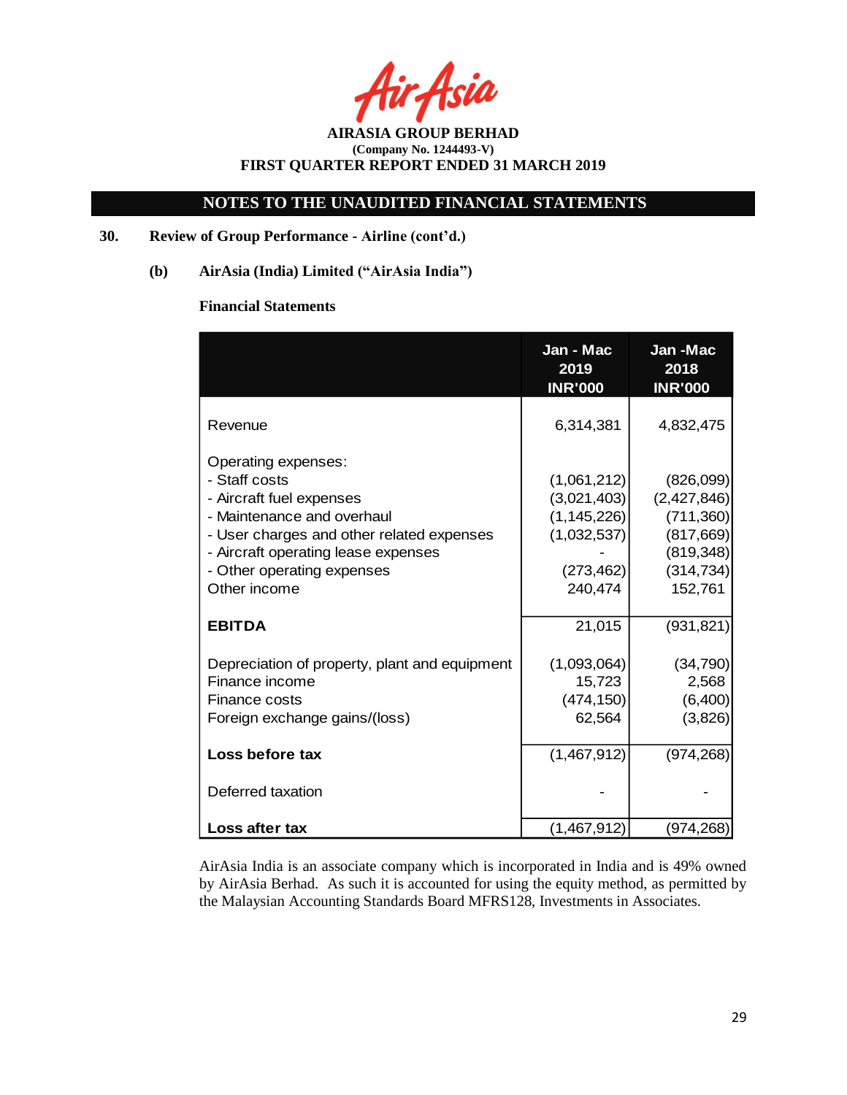Asia

**AIRASIA GROUP BERHAD (Company No. 1244493-V) FIRST QUARTER REPORT ENDED 31 MARCH 2019**

# **30. Review of Group Performance - Airline (cont'd.)**

**(b) AirAsia (India) Limited ("AirAsia India")**

# **Financial Statements**

|                                                                                                                                                                                                                                  | Jan - Mac<br>2019<br><b>INR'000</b>                                                 | Jan-Mac<br>2018<br><b>INR'000</b>                                                          |
|----------------------------------------------------------------------------------------------------------------------------------------------------------------------------------------------------------------------------------|-------------------------------------------------------------------------------------|--------------------------------------------------------------------------------------------|
| Revenue                                                                                                                                                                                                                          | 6,314,381                                                                           | 4,832,475                                                                                  |
| Operating expenses:<br>- Staff costs<br>- Aircraft fuel expenses<br>- Maintenance and overhaul<br>- User charges and other related expenses<br>- Aircraft operating lease expenses<br>- Other operating expenses<br>Other income | (1,061,212)<br>(3,021,403)<br>(1, 145, 226)<br>(1,032,537)<br>(273, 462)<br>240,474 | (826,099)<br>(2,427,846)<br>(711,360)<br>(817, 669)<br>(819, 348)<br>(314, 734)<br>152,761 |
| <b>EBITDA</b>                                                                                                                                                                                                                    | 21,015                                                                              | (931, 821)                                                                                 |
| Depreciation of property, plant and equipment<br>Finance income<br>Finance costs<br>Foreign exchange gains/(loss)                                                                                                                | (1,093,064)<br>15,723<br>(474, 150)<br>62,564                                       | (34, 790)<br>2,568<br>(6,400)<br>(3,826)                                                   |
| Loss before tax                                                                                                                                                                                                                  | (1,467,912)                                                                         | (974, 268)                                                                                 |
| Deferred taxation                                                                                                                                                                                                                |                                                                                     |                                                                                            |
| Loss after tax                                                                                                                                                                                                                   | (1,467,912)                                                                         | (974, 268)                                                                                 |

AirAsia India is an associate company which is incorporated in India and is 49% owned by AirAsia Berhad. As such it is accounted for using the equity method, as permitted by the Malaysian Accounting Standards Board MFRS128, Investments in Associates.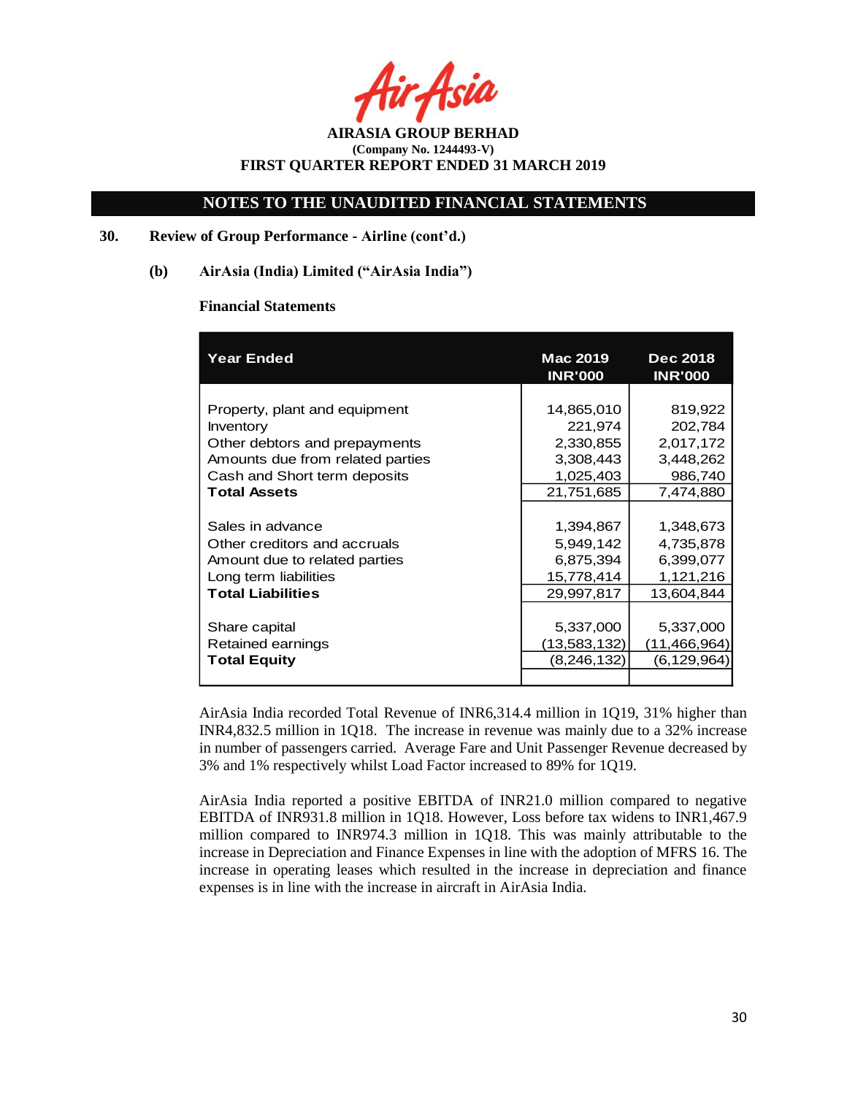Asia

**AIRASIA GROUP BERHAD (Company No. 1244493-V) FIRST QUARTER REPORT ENDED 31 MARCH 2019**

### **30. Review of Group Performance - Airline (cont'd.)**

#### **(b) AirAsia (India) Limited ("AirAsia India")**

#### **Financial Statements**

| <b>Year Ended</b>                | Mac 2019<br><b>INR'000</b> | <b>Dec 2018</b><br><b>INR'000</b> |  |
|----------------------------------|----------------------------|-----------------------------------|--|
|                                  |                            |                                   |  |
| Property, plant and equipment    | 14,865,010                 | 819,922                           |  |
| Inventory                        | 221,974                    | 202,784                           |  |
| Other debtors and prepayments    | 2,330,855                  | 2,017,172                         |  |
| Amounts due from related parties | 3,308,443                  | 3,448,262                         |  |
| Cash and Short term deposits     | 1,025,403                  | 986,740                           |  |
| <b>Total Assets</b>              | 21,751,685                 | 7,474,880                         |  |
|                                  |                            |                                   |  |
| Sales in advance                 | 1,394,867                  | 1,348,673                         |  |
| Other creditors and accruals     | 5,949,142                  | 4,735,878                         |  |
| Amount due to related parties    | 6,875,394                  | 6,399,077                         |  |
| Long term liabilities            | 15,778,414                 | 1,121,216                         |  |
| <b>Total Liabilities</b>         | 29,997,817                 | 13,604,844                        |  |
|                                  |                            |                                   |  |
| Share capital                    | 5,337,000                  | 5,337,000                         |  |
| Retained earnings                | (13,583,132)               | (11,466,964)                      |  |
| <b>Total Equity</b>              | (8, 246, 132)              | (6, 129, 964)                     |  |
|                                  |                            |                                   |  |

AirAsia India recorded Total Revenue of INR6,314.4 million in 1Q19, 31% higher than INR4,832.5 million in 1Q18. The increase in revenue was mainly due to a 32% increase in number of passengers carried. Average Fare and Unit Passenger Revenue decreased by 3% and 1% respectively whilst Load Factor increased to 89% for 1Q19.

AirAsia India reported a positive EBITDA of INR21.0 million compared to negative EBITDA of INR931.8 million in 1Q18. However, Loss before tax widens to INR1,467.9 million compared to INR974.3 million in 1Q18. This was mainly attributable to the increase in Depreciation and Finance Expenses in line with the adoption of MFRS 16. The increase in operating leases which resulted in the increase in depreciation and finance expenses is in line with the increase in aircraft in AirAsia India.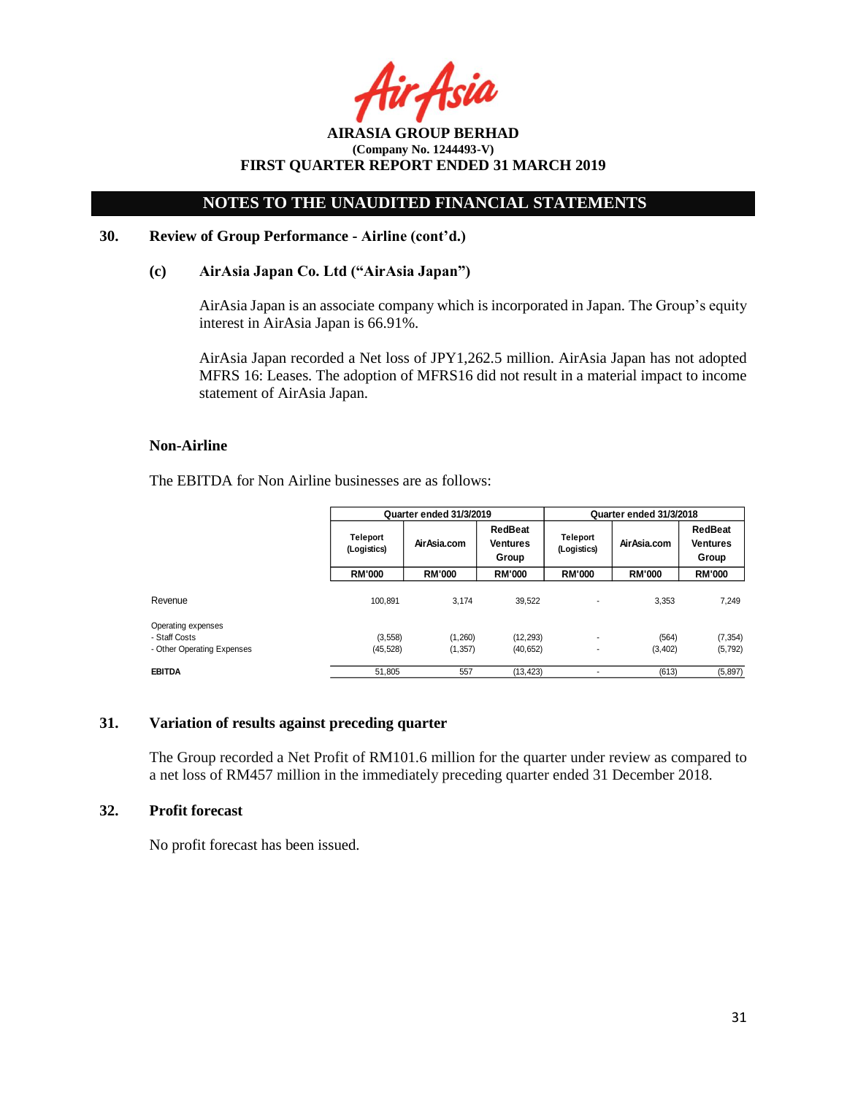Asia

**AIRASIA GROUP BERHAD (Company No. 1244493-V) FIRST QUARTER REPORT ENDED 31 MARCH 2019**

#### **30. Review of Group Performance - Airline (cont'd.)**

#### **(c) AirAsia Japan Co. Ltd ("AirAsia Japan")**

AirAsia Japan is an associate company which is incorporated in Japan. The Group's equity interest in AirAsia Japan is 66.91%.

AirAsia Japan recorded a Net loss of JPY1,262.5 million. AirAsia Japan has not adopted MFRS 16: Leases. The adoption of MFRS16 did not result in a material impact to income statement of AirAsia Japan.

#### **Non-Airline**

The EBITDA for Non Airline businesses are as follows:

|                            |                                | Quarter ended 31/3/2019 |                                     |                                | Quarter ended 31/3/2018 |                                     |  |
|----------------------------|--------------------------------|-------------------------|-------------------------------------|--------------------------------|-------------------------|-------------------------------------|--|
|                            | <b>Teleport</b><br>(Logistics) | Air Asia.com            | RedBeat<br><b>Ventures</b><br>Group | <b>Teleport</b><br>(Logistics) | Air Asia.com            | RedBeat<br><b>Ventures</b><br>Group |  |
|                            | <b>RM'000</b>                  | <b>RM'000</b>           | <b>RM'000</b>                       | <b>RM'000</b>                  | <b>RM'000</b>           | <b>RM'000</b>                       |  |
| Revenue                    | 100.891                        | 3.174                   | 39,522                              |                                | 3.353                   | 7.249                               |  |
| Operating expenses         |                                |                         |                                     |                                |                         |                                     |  |
| - Staff Costs              | (3, 558)                       | (1,260)                 | (12, 293)                           | $\overline{\phantom{a}}$       | (564)                   | (7, 354)                            |  |
| - Other Operating Expenses | (45, 528)                      | (1, 357)                | (40, 652)                           |                                | (3,402)                 | (5, 792)                            |  |
| <b>EBITDA</b>              | 51.805                         | 557                     | (13, 423)                           |                                | (613)                   | (5,897)                             |  |

#### **31. Variation of results against preceding quarter**

The Group recorded a Net Profit of RM101.6 million for the quarter under review as compared to a net loss of RM457 million in the immediately preceding quarter ended 31 December 2018.

# **32. Profit forecast**

No profit forecast has been issued.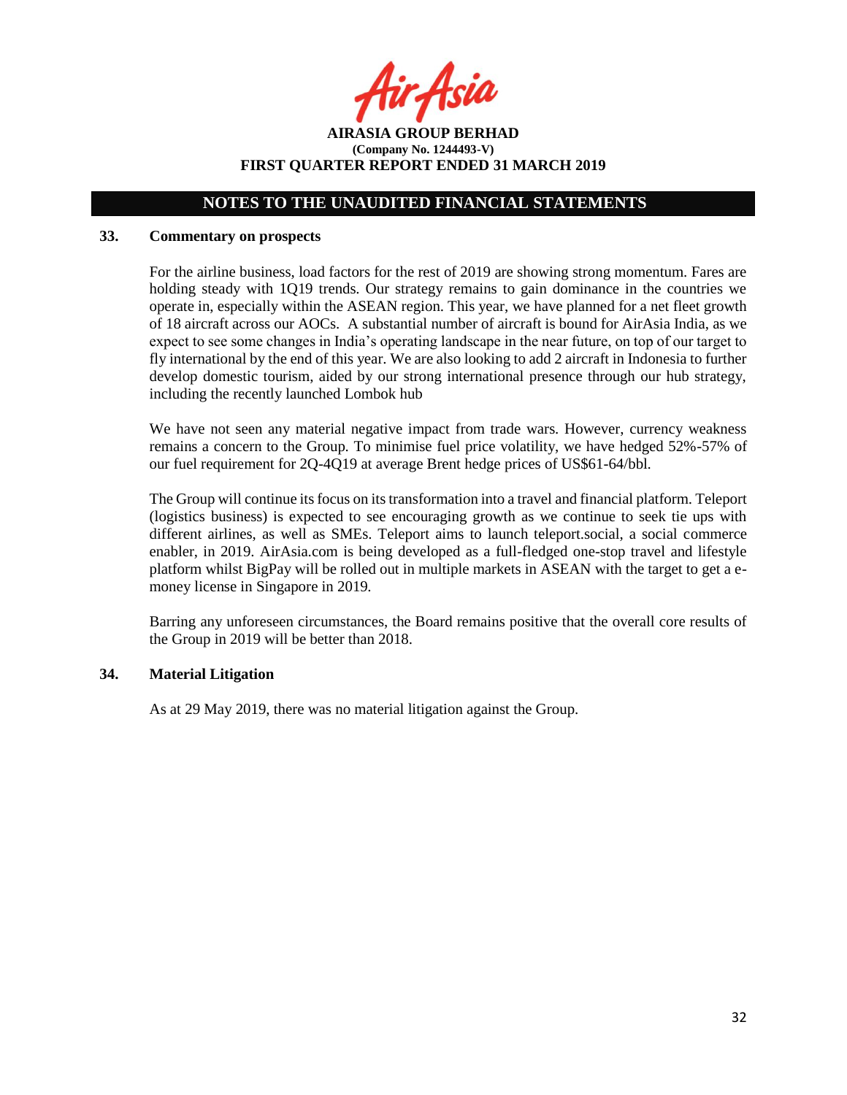Asil

**AIRASIA GROUP BERHAD (Company No. 1244493-V) FIRST QUARTER REPORT ENDED 31 MARCH 2019**

### **33. Commentary on prospects**

For the airline business, load factors for the rest of 2019 are showing strong momentum. Fares are holding steady with 1Q19 trends. Our strategy remains to gain dominance in the countries we operate in, especially within the ASEAN region. This year, we have planned for a net fleet growth of 18 aircraft across our AOCs. A substantial number of aircraft is bound for AirAsia India, as we expect to see some changes in India's operating landscape in the near future, on top of our target to fly international by the end of this year. We are also looking to add 2 aircraft in Indonesia to further develop domestic tourism, aided by our strong international presence through our hub strategy, including the recently launched Lombok hub

We have not seen any material negative impact from trade wars. However, currency weakness remains a concern to the Group. To minimise fuel price volatility, we have hedged 52%-57% of our fuel requirement for 2Q-4Q19 at average Brent hedge prices of US\$61-64/bbl.

The Group will continue its focus on its transformation into a travel and financial platform. Teleport (logistics business) is expected to see encouraging growth as we continue to seek tie ups with different airlines, as well as SMEs. Teleport aims to launch teleport.social, a social commerce enabler, in 2019. AirAsia.com is being developed as a full-fledged one-stop travel and lifestyle platform whilst BigPay will be rolled out in multiple markets in ASEAN with the target to get a emoney license in Singapore in 2019.

Barring any unforeseen circumstances, the Board remains positive that the overall core results of the Group in 2019 will be better than 2018.

#### **34. Material Litigation**

As at 29 May 2019, there was no material litigation against the Group.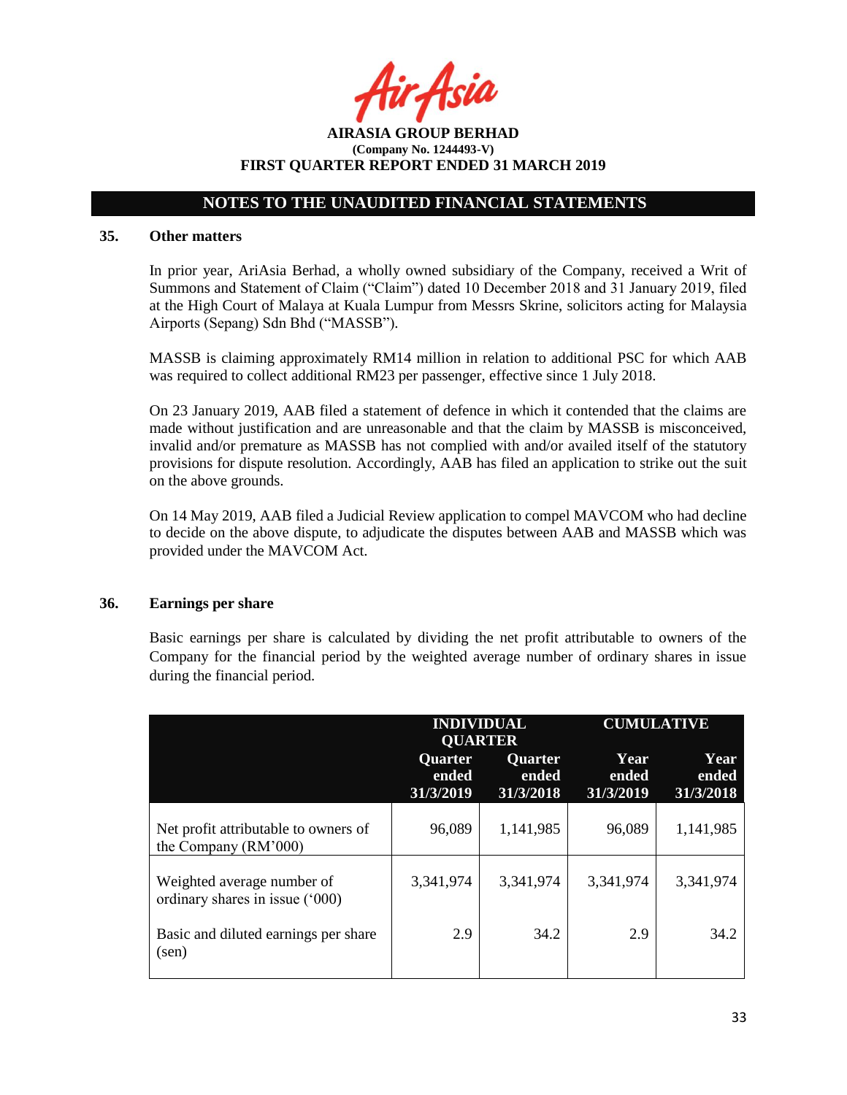**AIRASIA GROUP BERHAD (Company No. 1244493-V) FIRST QUARTER REPORT ENDED 31 MARCH 2019**

#### **35. Other matters**

In prior year, AriAsia Berhad, a wholly owned subsidiary of the Company, received a Writ of Summons and Statement of Claim ("Claim") dated 10 December 2018 and 31 January 2019, filed at the High Court of Malaya at Kuala Lumpur from Messrs Skrine, solicitors acting for Malaysia Airports (Sepang) Sdn Bhd ("MASSB").

MASSB is claiming approximately RM14 million in relation to additional PSC for which AAB was required to collect additional RM23 per passenger, effective since 1 July 2018.

On 23 January 2019, AAB filed a statement of defence in which it contended that the claims are made without justification and are unreasonable and that the claim by MASSB is misconceived, invalid and/or premature as MASSB has not complied with and/or availed itself of the statutory provisions for dispute resolution. Accordingly, AAB has filed an application to strike out the suit on the above grounds.

On 14 May 2019, AAB filed a Judicial Review application to compel MAVCOM who had decline to decide on the above dispute, to adjudicate the disputes between AAB and MASSB which was provided under the MAVCOM Act.

#### **36. Earnings per share**

Basic earnings per share is calculated by dividing the net profit attributable to owners of the Company for the financial period by the weighted average number of ordinary shares in issue during the financial period.

|                                                               | <b>INDIVIDUAL</b><br><b>QUARTER</b> |                               | <b>CUMULATIVE</b>          |                            |  |
|---------------------------------------------------------------|-------------------------------------|-------------------------------|----------------------------|----------------------------|--|
|                                                               | Quarter<br>ended<br>31/3/2019       | Quarter<br>ended<br>31/3/2018 | Year<br>ended<br>31/3/2019 | Year<br>ended<br>31/3/2018 |  |
| Net profit attributable to owners of<br>the Company (RM'000)  | 96,089                              | 1,141,985                     | 96,089                     | 1,141,985                  |  |
| Weighted average number of<br>ordinary shares in issue ('000) | 3,341,974                           | 3,341,974                     | 3,341,974                  | 3,341,974                  |  |
| Basic and diluted earnings per share<br>$(\text{sen})$        | 2.9                                 | 34.2                          | 2.9                        | 34.2                       |  |